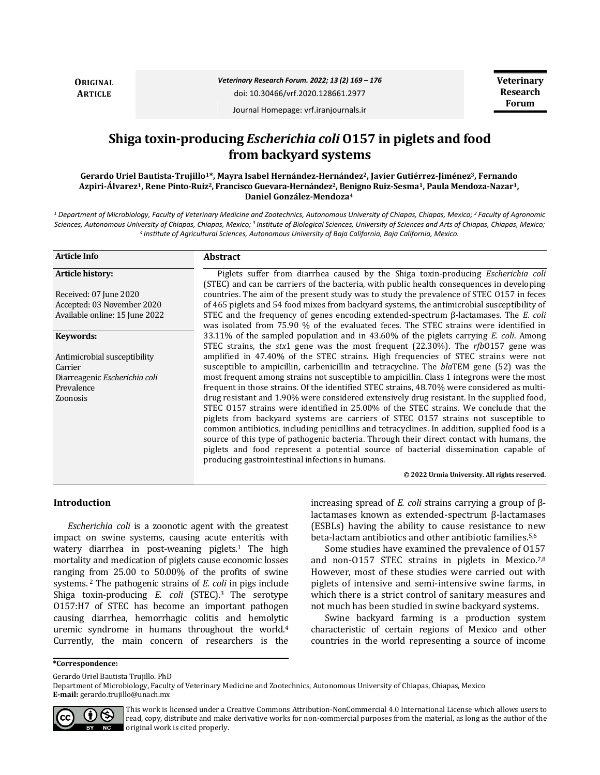**ORIGINAL ARTICLE**

*Veterinary Research Forum. 2022; 13 (2) 169 – 176*

doi: 10.30466/vrf.2020.128661.2977

Journal Homepage: vrf.iranjournals.ir

# **Shiga toxin-producing** *Escherichia coli* **O157 in piglets and food from backyard systems**

**Gerardo Uriel Bautista-Trujillo1\*, Mayra Isabel Hernández-Hernández2, Javier Gutiérrez-Jiménez3, Fernando Azpiri-Álvarez1, Rene Pinto-Ruiz2, Francisco Guevara-Hernández2, Benigno Ruiz-Sesma1, Paula Mendoza-Nazar1, Daniel González-Mendoza<sup>4</sup>**

*<sup>1</sup> Department of Microbiology, Faculty of Veterinary Medicine and Zootechnics, Autonomous University of Chiapas, Chiapas, Mexico; <sup>2</sup>Faculty of Agronomic Sciences, Autonomous University of Chiapas, Chiapas, Mexico; <sup>3</sup>Institute of Biological Sciences, University of Sciences and Arts of Chiapas, Chiapas, Mexico; <sup>4</sup>Institute of Agricultural Sciences, Autonomous University of Baja California, Baja California, Mexico.*

| <b>Article Info</b>            | <b>Abstract</b>                                                                                                                                                                                                                                                                                                                                                                                                                                                                                                                                                                                                   |
|--------------------------------|-------------------------------------------------------------------------------------------------------------------------------------------------------------------------------------------------------------------------------------------------------------------------------------------------------------------------------------------------------------------------------------------------------------------------------------------------------------------------------------------------------------------------------------------------------------------------------------------------------------------|
| Article history:               | Piglets suffer from diarrhea caused by the Shiga toxin-producing <i>Escherichia coli</i><br>(STEC) and can be carriers of the bacteria, with public health consequences in developing                                                                                                                                                                                                                                                                                                                                                                                                                             |
| Received: 07 June 2020         | countries. The aim of the present study was to study the prevalence of STEC 0157 in feces                                                                                                                                                                                                                                                                                                                                                                                                                                                                                                                         |
| Accepted: 03 November 2020     | of 465 piglets and 54 food mixes from backyard systems, the antimicrobial susceptibility of                                                                                                                                                                                                                                                                                                                                                                                                                                                                                                                       |
| Available online: 15 June 2022 | STEC and the frequency of genes encoding extended-spectrum $\beta$ -lactamases. The <i>E. coli</i><br>was isolated from 75.90 % of the evaluated feces. The STEC strains were identified in                                                                                                                                                                                                                                                                                                                                                                                                                       |
| Keywords:                      | 33.11% of the sampled population and in 43.60% of the piglets carrying <i>E. coli.</i> Among<br>STEC strains, the stx1 gene was the most frequent (22.30%). The rfb0157 gene was                                                                                                                                                                                                                                                                                                                                                                                                                                  |
| Antimicrobial susceptibility   | amplified in 47.40% of the STEC strains. High frequencies of STEC strains were not                                                                                                                                                                                                                                                                                                                                                                                                                                                                                                                                |
| Carrier                        | susceptible to ampicillin, carbenicillin and tetracycline. The blaTEM gene (52) was the                                                                                                                                                                                                                                                                                                                                                                                                                                                                                                                           |
| Diarreagenic Escherichia coli  | most frequent among strains not susceptible to ampicillin. Class 1 integrons were the most                                                                                                                                                                                                                                                                                                                                                                                                                                                                                                                        |
| Prevalence                     | frequent in those strains. Of the identified STEC strains, 48.70% were considered as multi-                                                                                                                                                                                                                                                                                                                                                                                                                                                                                                                       |
| Zoonosis                       | drug resistant and 1.90% were considered extensively drug resistant. In the supplied food,<br>STEC 0157 strains were identified in 25.00% of the STEC strains. We conclude that the<br>piglets from backyard systems are carriers of STEC 0157 strains not susceptible to<br>common antibiotics, including penicillins and tetracyclines. In addition, supplied food is a<br>source of this type of pathogenic bacteria. Through their direct contact with humans, the<br>piglets and food represent a potential source of bacterial dissemination capable of<br>producing gastrointestinal infections in humans. |
|                                | © 2022 Urmia University. All rights reserved.                                                                                                                                                                                                                                                                                                                                                                                                                                                                                                                                                                     |

#### **Introduction**

*Escherichia coli* is a zoonotic agent with the greatest impact on swine systems, causing acute enteritis with watery diarrhea in post-weaning piglets.<sup>1</sup> The high mortality and medication of piglets cause economic losses ranging from 25.00 to 50.00% of the profits of swine systems. <sup>2</sup> The pathogenic strains of *E. coli* in pigs include Shiga toxin-producing *E. coli* (STEC).3 The serotype O157:H7 of STEC has become an important pathogen causing diarrhea, hemorrhagic colitis and hemolytic uremic syndrome in humans throughout the world.<sup>4</sup> Currently, the main concern of researchers is the

increasing spread of *E. coli* strains carrying a group of βlactamases known as extended-spectrum β-lactamases (ESBLs) having the ability to cause resistance to new beta-lactam antibiotics and other antibiotic families.5,6

Some studies have examined the prevalence of O157 and non-O157 STEC strains in piglets in Mexico.<sup>7,8</sup> However, most of these studies were carried out with piglets of intensive and semi-intensive swine farms, in which there is a strict control of sanitary measures and not much has been studied in swine backyard systems.

Swine backyard farming is a production system characteristic of certain regions of Mexico and other countries in the world representing a source of income

**\*Correspondence:**

Gerardo Uriel Bautista Trujillo. PhD

Department of Microbiology, Faculty of Veterinary Medicine and Zootechnics, Autonomous University of Chiapas, Chiapas, Mexico **E-mail:** gerardo.trujillo@unach.mx



This work is licensed under a [Creative Commons Attribution-NonCommercial 4.0 International License](http://creativecommons.org/licenses/by-nc/4.0/) which allows users to read, copy, distribute and make derivative works for non-commercial purposes from the material, as long as the author of the original work is cited properly.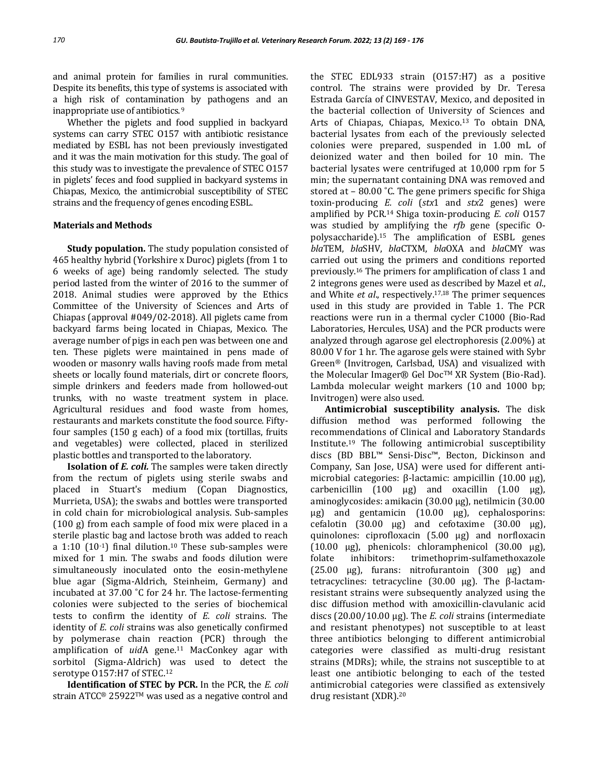and animal protein for families in rural communities. Despite its benefits, this type of systems is associated with a high risk of contamination by pathogens and an inappropriate use of antibiotics. <sup>9</sup>

Whether the piglets and food supplied in backyard systems can carry STEC O157 with antibiotic resistance mediated by ESBL has not been previously investigated and it was the main motivation for this study. The goal of this study was to investigate the prevalence of STEC O157 in piglets' feces and food supplied in backyard systems in Chiapas, Mexico, the antimicrobial susceptibility of STEC strains and the frequency of genes encoding ESBL.

# **Materials and Methods**

**Study population.** The study population consisted of 465 healthy hybrid (Yorkshire x Duroc) piglets (from 1 to 6 weeks of age) being randomly selected. The study period lasted from the winter of 2016 to the summer of 2018. Animal studies were approved by the Ethics Committee of the University of Sciences and Arts of Chiapas (approval #049/02-2018). All piglets came from backyard farms being located in Chiapas, Mexico. The average number of pigs in each pen was between one and ten. These piglets were maintained in pens made of wooden or masonry walls having roofs made from metal sheets or locally found materials, dirt or concrete floors, simple drinkers and feeders made from hollowed-out trunks, with no waste treatment system in place. Agricultural residues and food waste from homes, restaurants and markets constitute the food source. Fiftyfour samples (150 g each) of a food mix (tortillas, fruits and vegetables) were collected, placed in sterilized plastic bottles and transported to the laboratory.

**Isolation of** *E. coli.* The samples were taken directly from the rectum of piglets using sterile swabs and placed in Stuart's medium (Copan Diagnostics, Murrieta, USA); the swabs and bottles were transported in cold chain for microbiological analysis. Sub-samples (100 g) from each sample of food mix were placed in a sterile plastic bag and lactose broth was added to reach a 1:10  $(10^{-1})$  final dilution.<sup>10</sup> These sub-samples were mixed for 1 min. The swabs and foods dilution were simultaneously inoculated onto the eosin-methylene blue agar (Sigma-Aldrich, Steinheim, Germany) and incubated at 37.00 ˚C for 24 hr. The lactose-fermenting colonies were subjected to the series of biochemical tests to confirm the identity of *E. coli* strains. The identity of *E. coli* strains was also genetically confirmed by polymerase chain reaction (PCR) through the amplification of *uid*A gene.<sup>11</sup> MacConkey agar with sorbitol (Sigma-Aldrich) was used to detect the serotype O157:H7 of STEC.<sup>12</sup>

**Identification of STEC by PCR.** In the PCR, the *E. coli* strain ATCC® 25922TM was used as a negative control and

the STEC EDL933 strain (O157:H7) as a positive control. The strains were provided by Dr. Teresa Estrada García of CINVESTAV, Mexico, and deposited in the bacterial collection of University of Sciences and Arts of Chiapas, Chiapas, Mexico.13 To obtain DNA, bacterial lysates from each of the previously selected colonies were prepared, suspended in 1.00 mL of deionized water and then boiled for 10 min. The bacterial lysates were centrifuged at 10,000 rpm for 5 min; the supernatant containing DNA was removed and stored at – 80.00 ˚C. The gene primers specific for Shiga toxin-producing *E. coli* (*stx*1 and *stx*2 genes) were amplified by PCR.14 Shiga toxin-producing *E. coli* O157 was studied by amplifying the *rfb* gene (specific Opolysaccharide).<sup>15</sup> The amplification of ESBL genes *bla*TEM, *bla*SHV, *bla*CTXM, *bla*OXA and *bla*CMY was carried out using the primers and conditions reported previously.<sup>16</sup> The primers for amplification of class 1 and 2 integrons genes were used as described by Mazel et *al*., and White *et al*., respectively.17,18 The primer sequences used in this study are provided in Table 1. The PCR reactions were run in a thermal cycler C1000 (Bio-Rad Laboratories, Hercules, USA) and the PCR products were analyzed through agarose gel electrophoresis (2.00%) at 80.00 V for 1 hr. The agarose gels were stained with Sybr Green® (Invitrogen, Carlsbad, USA) and visualized with the Molecular Imager® Gel DocTM XR System (Bio-Rad). Lambda molecular weight markers (10 and 1000 bp; Invitrogen) were also used.

**Antimicrobial susceptibility analysis.** The disk diffusion method was performed following the recommendations of Clinical and Laboratory Standards Institute.<sup>19</sup> The following antimicrobial susceptibility discs (BD BBL™ Sensi-Disc™, Becton, Dickinson and Company, San Jose, USA) were used for different antimicrobial categories: β-lactamic: ampicillin (10.00 µg), carbenicillin  $(100 \mu g)$  and oxacillin  $(1.00 \mu g)$ , aminoglycosides: amikacin (30.00 µg), netilmicin (30.00 µg) and gentamicin (10.00 µg), cephalosporins: cefalotin  $(30.00 \text{ µg})$  and cefotaxime  $(30.00 \text{ µg})$ , quinolones: ciprofloxacin (5.00 µg) and norfloxacin (10.00  $\mu$ g), phenicols: chloramphenicol (30.00  $\mu$ g), folate inhibitors: trimethoprim-sulfamethoxazole  $(25.00 \text{ \mu g})$ , furans: nitrofurantoin  $(300 \text{ \mu g})$  and tetracyclines: tetracycline (30.00 µg). The β-lactamresistant strains were subsequently analyzed using the disc diffusion method with amoxicillin-clavulanic acid discs (20.00/10.00 µg). The *E. coli* strains (intermediate and resistant phenotypes) not susceptible to at least three antibiotics belonging to different antimicrobial categories were classified as multi-drug resistant strains (MDRs); while, the strains not susceptible to at least one antibiotic belonging to each of the tested antimicrobial categories were classified as extensively drug resistant (XDR).20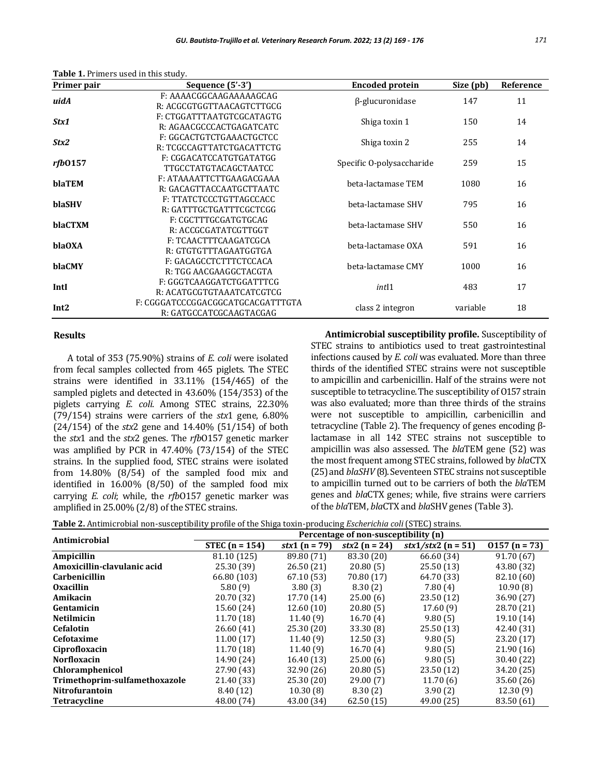|  | Table 1. Primers used in this study. |  |  |  |
|--|--------------------------------------|--|--|--|
|--|--------------------------------------|--|--|--|

| Primer pair      | Sequence $(5'-3')$                                           | <b>Encoded protein</b>    | Size (pb) | Reference |
|------------------|--------------------------------------------------------------|---------------------------|-----------|-----------|
| uidA             | F: AAAACGGCAAGAAAAAGCAG<br>R: ACGCGTGGTTAACAGTCTTGCG         | $\beta$ -glucuronidase    | 147       | 11        |
| Stx1             | F: CTGGATTTAATGTCGCATAGTG<br>R: AGAACGCCCACTGAGATCATC        | Shiga toxin 1             | 150       | 14        |
| Stx2             | F: GGCACTGTCTGAAACTGCTCC<br>R: TCGCCAGTTATCTGACATTCTG        | Shiga toxin 2             | 255       | 14        |
| rfb0157          | F: CGGACATCCATGTGATATGG<br><b>TTGCCTATGTACAGCTAATCC</b>      | Specific O-polysaccharide | 259       | 15        |
| blaTEM           | F: ATAAAATTCTTGAAGACGAAA<br>R: GACAGTTACCAATGCTTAATC         | beta-lactamase TEM        | 1080      | 16        |
| blaSHV           | F: TTATCTCCCTGTTAGCCACC<br>R: GATTTGCTGATTTCGCTCGG           | beta-lactamase SHV        | 795       | 16        |
| blaCTXM          | F: CGCTTTGCGATGTGCAG<br>R: ACCGCGATATCGTTGGT                 | beta-lactamase SHV        | 550       | 16        |
| blaOXA           | F: TCAACTTTCAAGATCGCA<br>R: GTGTGTTTAGAATGGTGA               | beta-lactamase OXA        | 591       | 16        |
| blaCMY           | F: GACAGCCTCTTTCTCCACA<br>R: TGG AACGAAGGCTACGTA             | beta-lactamase CMY        | 1000      | 16        |
| IntI             | F: GGGTCAAGGATCTGGATTTCG<br>R: ACATGCGTGTAAATCATCGTCG        | int11                     | 483       | 17        |
| Int <sub>2</sub> | F: CGGGATCCCGGACGGCATGCACGATTTGTA<br>R: GATGCCATCGCAAGTACGAG | class 2 integron          | variable  | 18        |

# **Results**

A total of 353 (75.90%) strains of *E. coli* were isolated from fecal samples collected from 465 piglets. The STEC strains were identified in 33.11% (154/465) of the sampled piglets and detected in 43.60% (154/353) of the piglets carrying *E. coli*. Among STEC strains, 22.30% (79/154) strains were carriers of the *stx*1 gene, 6.80% (24/154) of the *stx*2 gene and 14.40% (51/154) of both the *stx*1 and the *stx*2 genes. The *rfb*O157 genetic marker was amplified by PCR in 47.40% (73/154) of the STEC strains. In the supplied food, STEC strains were isolated from 14.80% (8/54) of the sampled food mix and identified in 16.00% (8/50) of the sampled food mix carrying *E. coli*; while, the *rfb*O157 genetic marker was amplified in 25.00% (2/8) of the STEC strains.

**Antimicrobial susceptibility profile.** Susceptibility of STEC strains to antibiotics used to treat gastrointestinal infections caused by *E. coli* was evaluated. More than three thirds of the identified STEC strains were not susceptible to ampicillin and carbenicillin. Half of the strains were not susceptible to tetracycline. The susceptibility of O157 strain was also evaluated; more than three thirds of the strains were not susceptible to ampicillin, carbenicillin and tetracycline (Table 2). The frequency of genes encoding βlactamase in all 142 STEC strains not susceptible to ampicillin was also assessed. The *bla*TEM gene (52) was the most frequent among STEC strains, followed by *bla*CTX (25) and *blaSHV* (8). Seventeen STEC strains not susceptible to ampicillin turned out to be carriers of both the *bla*TEM genes and *bla*CTX genes; while, five strains were carriers of the *bla*TEM, *bla*CTX and *bla*SHV genes (Table 3).

**Table 2.** Antimicrobial non-susceptibility profile of the Shiga toxin-producing *Escherichia coli* (STEC) strains.

| Antimicrobial                 | Percentage of non-susceptibility (n) |                           |                   |                              |                 |  |  |
|-------------------------------|--------------------------------------|---------------------------|-------------------|------------------------------|-----------------|--|--|
|                               | STEC $(n = 154)$                     | <i>stx</i> 1 ( $n = 79$ ) | stx2 ( $n = 24$ ) | $\frac{stx1}{stx2}$ (n = 51) | $0157 (n = 73)$ |  |  |
| Ampicillin                    | 81.10 (125)                          | 89.80 (71)                | 83.30 (20)        | 66.60 (34)                   | 91.70 (67)      |  |  |
| Amoxicillin-clavulanic acid   | 25.30 (39)                           | 26.50(21)                 | 20.80(5)          | 25.50(13)                    | 43.80 (32)      |  |  |
| <b>Carbenicillin</b>          | 66.80 (103)                          | 67.10(53)                 | 70.80 (17)        | 64.70 (33)                   | 82.10 (60)      |  |  |
| <b>Oxacillin</b>              | 5.80(9)                              | 3.80(3)                   | 8.30(2)           | 7.80(4)                      | 10.90(8)        |  |  |
| Amikacin                      | 20.70 (32)                           | 17.70 (14)                | 25.00(6)          | 23.50 (12)                   | 36.90 (27)      |  |  |
| Gentamicin                    | 15.60 (24)                           | 12.60(10)                 | 20.80(5)          | 17.60(9)                     | 28.70 (21)      |  |  |
| <b>Netilmicin</b>             | 11.70(18)                            | 11.40(9)                  | 16.70(4)          | 9.80(5)                      | 19.10 (14)      |  |  |
| <b>Cefalotin</b>              | 26.60(41)                            | 25.30(20)                 | 33.30(8)          | 25.50(13)                    | 42.40 (31)      |  |  |
| Cefotaxime                    | 11.00(17)                            | 11.40(9)                  | 12.50(3)          | 9.80(5)                      | 23.20 (17)      |  |  |
| Ciprofloxacin                 | 11.70 (18)                           | 11.40(9)                  | 16.70(4)          | 9.80(5)                      | 21.90(16)       |  |  |
| <b>Norfloxacin</b>            | 14.90 (24)                           | 16.40(13)                 | 25.00(6)          | 9.80(5)                      | 30.40 (22)      |  |  |
| <b>Chloramphenicol</b>        | 27.90 (43)                           | 32.90 (26)                | 20.80(5)          | 23.50 (12)                   | 34.20 (25)      |  |  |
| Trimethoprim-sulfamethoxazole | 21.40 (33)                           | 25.30 (20)                | 29.00(7)          | 11.70(6)                     | 35.60 (26)      |  |  |
| Nitrofurantoin                | 8.40(12)                             | 10.30(8)                  | 8.30(2)           | 3.90(2)                      | 12.30(9)        |  |  |
| <b>Tetracycline</b>           | 48.00 (74)                           | 43.00 (34)                | 62.50(15)         | 49.00 (25)                   | 83.50 (61)      |  |  |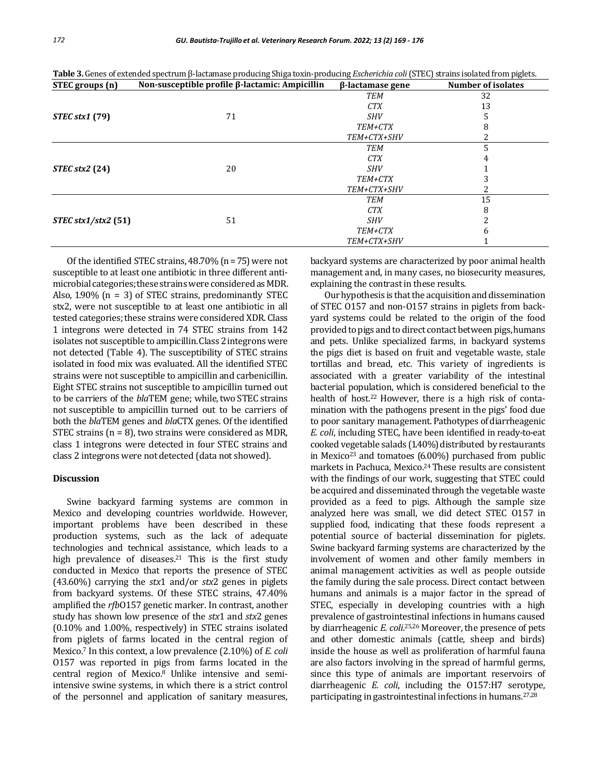| STEC groups (n)       | Non-susceptible profile β-lactamic: Ampicillin | $\beta$ -lactamase gene | <b>Number of isolates</b> |
|-----------------------|------------------------------------------------|-------------------------|---------------------------|
|                       |                                                | <b>TEM</b>              | 32                        |
|                       |                                                | <b>CTX</b>              | 13                        |
| <b>STEC stx1 (79)</b> | 71                                             | <b>SHV</b>              |                           |
|                       |                                                | TEM+CTX                 |                           |
|                       |                                                | TEM+CTX+SHV             |                           |
|                       |                                                | <b>TEM</b>              |                           |
|                       |                                                | <b>CTX</b>              |                           |
| $STEC$ stx2 (24)      | 20                                             | <i>SHV</i>              |                           |
|                       |                                                | <b>TEM+CTX</b>          |                           |
|                       |                                                | TEM+CTX+SHV             |                           |
|                       |                                                | <b>TEM</b>              | 15                        |
| $STEC$ stx1/stx2 (51) |                                                | <b>CTX</b>              | 8                         |
|                       | 51                                             | <b>SHV</b>              |                           |
|                       |                                                | TEM+CTX                 | 6                         |
|                       |                                                | TEM+CTX+SHV             |                           |

**Table 3.** Genes of extended spectrum β-lactamase producing Shiga toxin-producing *Escherichia coli* (STEC) strains isolated from piglets.

Of the identified STEC strains, 48.70% (n = 75) were not susceptible to at least one antibiotic in three different antimicrobial categories; these strainswere consideredas MDR. Also, 1.90% (n = 3) of STEC strains, predominantly STEC stx2, were not susceptible to at least one antibiotic in all tested categories; these strains were considered XDR. Class 1 integrons were detected in 74 STEC strains from 142 isolates not susceptible to ampicillin. Class 2 integrons were not detected (Table 4). The susceptibility of STEC strains isolated in food mix was evaluated. All the identified STEC strains were not susceptible to ampicillin and carbenicillin. Eight STEC strains not susceptible to ampicillin turned out to be carriers of the *bla*TEM gene; while, two STEC strains not susceptible to ampicillin turned out to be carriers of both the *bla*TEM genes and *bla*CTX genes. Of the identified STEC strains (n = 8), two strains were considered as MDR, class 1 integrons were detected in four STEC strains and class 2 integrons were not detected (data not showed).

# **Discussion**

Swine backyard farming systems are common in Mexico and developing countries worldwide. However, important problems have been described in these production systems, such as the lack of adequate technologies and technical assistance, which leads to a high prevalence of diseases.<sup>21</sup> This is the first study conducted in Mexico that reports the presence of STEC (43.60%) carrying the *stx*1 and/or *stx*2 genes in piglets from backyard systems. Of these STEC strains, 47.40% amplified the *rfb*O157 genetic marker. In contrast, another study has shown low presence of the *stx*1 and *stx*2 genes (0.10% and 1.00%, respectively) in STEC strains isolated from piglets of farms located in the central region of Mexico.<sup>7</sup> In this context, a low prevalence (2.10%) of *E. coli*  O157 was reported in pigs from farms located in the central region of Mexico.8 Unlike intensive and semiintensive swine systems, in which there is a strict control of the personnel and application of sanitary measures, backyard systems are characterized by poor animal health management and, in many cases, no biosecurity measures, explaining the contrast in these results.

Our hypothesis is that the acquisition and dissemination of STEC O157 and non-O157 strains in piglets from backyard systems could be related to the origin of the food provided to pigs and to direct contact between pigs, humans and pets. Unlike specialized farms, in backyard systems the pigs diet is based on fruit and vegetable waste, stale tortillas and bread, etc. This variety of ingredients is associated with a greater variability of the intestinal bacterial population, which is considered beneficial to the health of host.<sup>22</sup> However, there is a high risk of contamination with the pathogens present in the pigs' food due to poor sanitary management. Pathotypes of diarrheagenic *E. coli*, including STEC, have been identified in ready-to-eat cooked vegetable salads (1.40%) distributed by restaurants in Mexico<sup>23</sup> and tomatoes  $(6.00\%)$  purchased from public markets in Pachuca, Mexico.24 These results are consistent with the findings of our work, suggesting that STEC could be acquired and disseminated through the vegetable waste provided as a feed to pigs. Although the sample size analyzed here was small, we did detect STEC O157 in supplied food, indicating that these foods represent a potential source of bacterial dissemination for piglets. Swine backyard farming systems are characterized by the involvement of women and other family members in animal management activities as well as people outside the family during the sale process. Direct contact between humans and animals is a major factor in the spread of STEC, especially in developing countries with a high prevalence of gastrointestinal infections in humans caused by diarrheagenic *E. coli*. 25,26 Moreover, the presence of pets and other domestic animals (cattle, sheep and birds) inside the house as well as proliferation of harmful fauna are also factors involving in the spread of harmful germs, since this type of animals are important reservoirs of diarrheagenic *E. coli*, including the O157:H7 serotype, participating in gastrointestinal infections in humans.27,28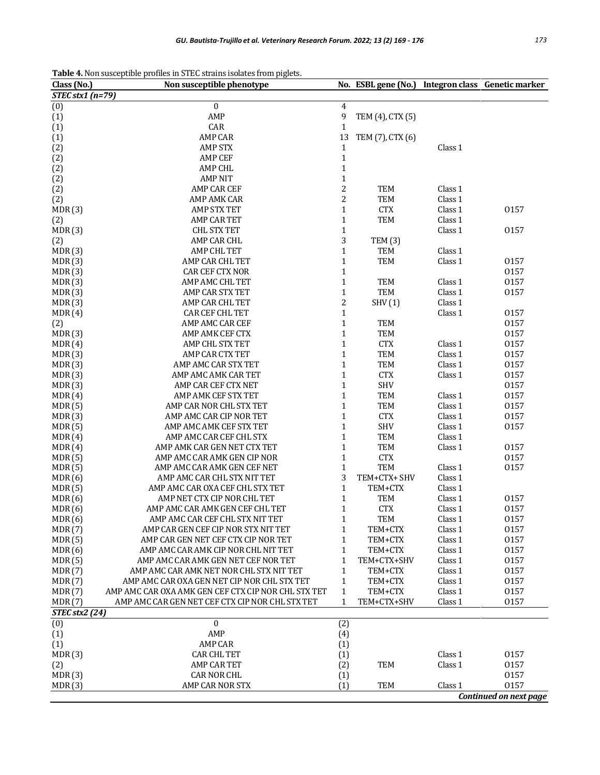| Table 4. Non susceptible profiles in STEC strains isolates from piglets. |
|--------------------------------------------------------------------------|
|--------------------------------------------------------------------------|

| $STEC$ stx1 (n=79)<br>(0)<br>$\boldsymbol{0}$<br>$\overline{4}$<br>9<br>AMP<br>(1)<br>TEM (4), CTX (5)<br>$\mathbf 1$<br>(1)<br>CAR<br>13<br>(1)<br><b>AMP CAR</b><br>TEM (7), CTX (6)<br>$\mathbf 1$<br>(2)<br><b>AMP STX</b><br>Class 1<br>$\mathbf 1$<br>(2)<br><b>AMP CEF</b><br>$\mathbf{1}$<br>(2)<br><b>AMP CHL</b><br>$\mathbf{1}$<br>(2)<br><b>AMP NIT</b><br>$\overline{\mathbf{c}}$<br>(2)<br>AMP CAR CEF<br><b>TEM</b><br>Class 1<br>$\overline{\mathbf{c}}$<br>Class 1<br>AMP AMK CAR<br>TEM<br>(2)<br>$\mathbf 1$<br>MDR(3)<br><b>CTX</b><br>Class 1<br><b>AMP STX TET</b><br>0157<br>$\mathbf{1}$<br>TEM<br>AMP CAR TET<br>Class 1<br>(2)<br>$\mathbf{1}$<br>Class 1<br>0157<br>MDR(3)<br><b>CHL STX TET</b><br>3<br>AMP CAR CHL<br>(2)<br>TEM(3)<br>$\mathbf{1}$<br>MDR(3)<br>AMP CHL TET<br><b>TEM</b><br>Class 1<br>$\mathbf{1}$<br>TEM<br>Class 1<br>MDR(3)<br>AMP CAR CHL TET<br>0157<br>$\mathbf{1}$<br>0157<br>MDR(3)<br><b>CAR CEF CTX NOR</b><br>$\mathbf{1}$<br>0157<br>MDR(3)<br>AMP AMC CHL TET<br><b>TEM</b><br>Class 1<br>$\mathbf{1}$<br>TEM<br>Class 1<br>0157<br>MDR(3)<br>AMP CAR STX TET<br>$\overline{\mathbf{c}}$<br>MDR(3)<br>AMP CAR CHL TET<br>SHV(1)<br>Class 1<br>$\mathbf 1$<br>0157<br>MDR(4)<br>CAR CEF CHL TET<br>Class 1<br>$\mathbf{1}$<br>AMP AMC CAR CEF<br>0157<br>(2)<br><b>TEM</b><br>$\mathbf{1}$<br>TEM<br>0157<br>MDR(3)<br>AMP AMK CEF CTX<br>$\mathbf{1}$<br><b>CTX</b><br>AMP CHL STX TET<br>0157<br>MDR(4)<br>Class 1<br>$\mathbf{1}$<br>TEM<br>Class 1<br>0157<br>MDR(3)<br>AMP CAR CTX TET<br>$\mathbf{1}$<br>TEM<br>Class 1<br>0157<br>MDR(3)<br>AMP AMC CAR STX TET<br>$\mathbf{1}$<br><b>CTX</b><br>0157<br>AMP AMC AMK CAR TET<br>Class 1<br>MDR(3)<br>$\mathbf{1}$<br><b>SHV</b><br>0157<br>MDR(3)<br>AMP CAR CEF CTX NET<br><b>TEM</b><br>$\mathbf{1}$<br>0157<br>MDR(4)<br>AMP AMK CEF STX TET<br>Class 1<br>$\mathbf{1}$<br><b>TEM</b><br>Class 1<br>0157<br><b>MDR</b> (5)<br>AMP CAR NOR CHL STX TET<br>$\mathbf{1}$<br>AMP AMC CAR CIP NOR TET<br><b>CTX</b><br>Class 1<br>0157<br>MDR(3)<br>$\mathbf{1}$<br>SHV<br>Class 1<br>0157<br><b>MDR</b> (5)<br>AMP AMC AMK CEF STX TET<br>$\mathbf{1}$<br>TEM<br>Class 1<br>AMP AMC CAR CEF CHL STX<br>MDR(4)<br>$\mathbf{1}$<br><b>TEM</b><br>Class 1<br>MDR(4)<br>AMP AMK CAR GEN NET CTX TET<br>0157<br>$\mathbf{1}$<br>0157<br>MDR(5)<br>AMP AMC CAR AMK GEN CIP NOR<br><b>CTX</b><br>$\mathbf{1}$<br>TEM<br>AMP AMC CAR AMK GEN CEF NET<br>Class 1<br>0157<br>MDR(5)<br>3<br>TEM+CTX+ SHV<br>MDR(6)<br>AMP AMC CAR CHL STX NIT TET<br>Class 1<br>$\mathbf{1}$<br>Class 1<br><b>MDR</b> (5)<br>AMP AMC CAR OXA CEF CHL STX TET<br>TEM+CTX<br>$\mathbf{1}$<br>AMP NET CTX CIP NOR CHL TET<br>TEM<br>Class 1<br>0157<br>MDR(6)<br>$\mathbf{1}$<br><b>CTX</b><br>MDR(6)<br>AMP AMC CAR AMK GEN CEF CHL TET<br>Class 1<br>0157<br>MDR(6)<br>$\mathbf{1}$<br>TEM<br>0157<br>AMP AMC CAR CEF CHL STX NIT TET<br>Class 1<br>AMP CAR GEN CEF CIP NOR STX NIT TET<br>MDR(7)<br>1<br>TEM+CTX<br>Class 1<br>0157<br>Class 1<br>0157<br>MDR(5)<br>AMP CAR GEN NET CEF CTX CIP NOR TET<br>$\mathbf{1}$<br>TEM+CTX<br>0157<br>MDR(6)<br>AMP AMC CAR AMK CIP NOR CHL NIT TET<br>$\mathbf{1}$<br>TEM+CTX<br>Class 1<br>$\mathbf{1}$<br>0157<br><b>MDR</b> (5)<br>AMP AMC CAR AMK GEN NET CEF NOR TET<br>TEM+CTX+SHV<br>Class 1<br>0157<br><b>MDR</b> (7)<br>AMP AMC CAR AMK NET NOR CHL STX NIT TET<br>$\mathbf{1}$<br>TEM+CTX<br>Class 1<br>MDR(7)<br>AMP AMC CAR OXA GEN NET CIP NOR CHL STX TET<br>$\mathbf{1}$<br>TEM+CTX<br>Class 1<br>0157<br>MDR(7)<br>AMP AMC CAR OXA AMK GEN CEF CTX CIP NOR CHL STX TET<br>TEM+CTX<br>Class 1<br>0157<br>$\mathbf{1}$<br>0157<br>MDR(7)<br>AMP AMC CAR GEN NET CEF CTX CIP NOR CHL STX TET<br>$\mathbf{1}$<br>TEM+CTX+SHV<br>Class 1<br><b>STEC stx2 (24)</b><br>$\mathbf{0}$<br>(0)<br>(2)<br>AMP<br>(1)<br>(4)<br>(1)<br><b>AMP CAR</b><br>(1)<br>MDR(3)<br><b>CAR CHL TET</b><br>(1)<br>Class 1<br>0157<br>AMP CAR TET<br>(2)<br><b>TEM</b><br>Class 1<br>0157<br>(2)<br>MDR(3)<br><b>CAR NOR CHL</b><br>0157<br>(1)<br>0157<br>AMP CAR NOR STX<br>(1)<br><b>TEM</b><br>Class 1<br>MDR(3)<br>Continued on next page | Class (No.) | Non susceptible phenotype | No. ESBL gene (No.) Integron class Genetic marker |  |
|------------------------------------------------------------------------------------------------------------------------------------------------------------------------------------------------------------------------------------------------------------------------------------------------------------------------------------------------------------------------------------------------------------------------------------------------------------------------------------------------------------------------------------------------------------------------------------------------------------------------------------------------------------------------------------------------------------------------------------------------------------------------------------------------------------------------------------------------------------------------------------------------------------------------------------------------------------------------------------------------------------------------------------------------------------------------------------------------------------------------------------------------------------------------------------------------------------------------------------------------------------------------------------------------------------------------------------------------------------------------------------------------------------------------------------------------------------------------------------------------------------------------------------------------------------------------------------------------------------------------------------------------------------------------------------------------------------------------------------------------------------------------------------------------------------------------------------------------------------------------------------------------------------------------------------------------------------------------------------------------------------------------------------------------------------------------------------------------------------------------------------------------------------------------------------------------------------------------------------------------------------------------------------------------------------------------------------------------------------------------------------------------------------------------------------------------------------------------------------------------------------------------------------------------------------------------------------------------------------------------------------------------------------------------------------------------------------------------------------------------------------------------------------------------------------------------------------------------------------------------------------------------------------------------------------------------------------------------------------------------------------------------------------------------------------------------------------------------------------------------------------------------------------------------------------------------------------------------------------------------------------------------------------------------------------------------------------------------------------------------------------------------------------------------------------------------------------------------------------------------------------------------------------------------------------------------------------------------------------------------------------------------------------------------------------------------------------------------------------------------------------------------------------------------------------------------------------------------------------------------------------------------------------------------------------------------------------------------------------------------------------------------------------------------------------------------------------------------------------------------------------------------------------------------|-------------|---------------------------|---------------------------------------------------|--|
|                                                                                                                                                                                                                                                                                                                                                                                                                                                                                                                                                                                                                                                                                                                                                                                                                                                                                                                                                                                                                                                                                                                                                                                                                                                                                                                                                                                                                                                                                                                                                                                                                                                                                                                                                                                                                                                                                                                                                                                                                                                                                                                                                                                                                                                                                                                                                                                                                                                                                                                                                                                                                                                                                                                                                                                                                                                                                                                                                                                                                                                                                                                                                                                                                                                                                                                                                                                                                                                                                                                                                                                                                                                                                                                                                                                                                                                                                                                                                                                                                                                                                                                                                                        |             |                           |                                                   |  |
|                                                                                                                                                                                                                                                                                                                                                                                                                                                                                                                                                                                                                                                                                                                                                                                                                                                                                                                                                                                                                                                                                                                                                                                                                                                                                                                                                                                                                                                                                                                                                                                                                                                                                                                                                                                                                                                                                                                                                                                                                                                                                                                                                                                                                                                                                                                                                                                                                                                                                                                                                                                                                                                                                                                                                                                                                                                                                                                                                                                                                                                                                                                                                                                                                                                                                                                                                                                                                                                                                                                                                                                                                                                                                                                                                                                                                                                                                                                                                                                                                                                                                                                                                                        |             |                           |                                                   |  |
|                                                                                                                                                                                                                                                                                                                                                                                                                                                                                                                                                                                                                                                                                                                                                                                                                                                                                                                                                                                                                                                                                                                                                                                                                                                                                                                                                                                                                                                                                                                                                                                                                                                                                                                                                                                                                                                                                                                                                                                                                                                                                                                                                                                                                                                                                                                                                                                                                                                                                                                                                                                                                                                                                                                                                                                                                                                                                                                                                                                                                                                                                                                                                                                                                                                                                                                                                                                                                                                                                                                                                                                                                                                                                                                                                                                                                                                                                                                                                                                                                                                                                                                                                                        |             |                           |                                                   |  |
|                                                                                                                                                                                                                                                                                                                                                                                                                                                                                                                                                                                                                                                                                                                                                                                                                                                                                                                                                                                                                                                                                                                                                                                                                                                                                                                                                                                                                                                                                                                                                                                                                                                                                                                                                                                                                                                                                                                                                                                                                                                                                                                                                                                                                                                                                                                                                                                                                                                                                                                                                                                                                                                                                                                                                                                                                                                                                                                                                                                                                                                                                                                                                                                                                                                                                                                                                                                                                                                                                                                                                                                                                                                                                                                                                                                                                                                                                                                                                                                                                                                                                                                                                                        |             |                           |                                                   |  |
|                                                                                                                                                                                                                                                                                                                                                                                                                                                                                                                                                                                                                                                                                                                                                                                                                                                                                                                                                                                                                                                                                                                                                                                                                                                                                                                                                                                                                                                                                                                                                                                                                                                                                                                                                                                                                                                                                                                                                                                                                                                                                                                                                                                                                                                                                                                                                                                                                                                                                                                                                                                                                                                                                                                                                                                                                                                                                                                                                                                                                                                                                                                                                                                                                                                                                                                                                                                                                                                                                                                                                                                                                                                                                                                                                                                                                                                                                                                                                                                                                                                                                                                                                                        |             |                           |                                                   |  |
|                                                                                                                                                                                                                                                                                                                                                                                                                                                                                                                                                                                                                                                                                                                                                                                                                                                                                                                                                                                                                                                                                                                                                                                                                                                                                                                                                                                                                                                                                                                                                                                                                                                                                                                                                                                                                                                                                                                                                                                                                                                                                                                                                                                                                                                                                                                                                                                                                                                                                                                                                                                                                                                                                                                                                                                                                                                                                                                                                                                                                                                                                                                                                                                                                                                                                                                                                                                                                                                                                                                                                                                                                                                                                                                                                                                                                                                                                                                                                                                                                                                                                                                                                                        |             |                           |                                                   |  |
|                                                                                                                                                                                                                                                                                                                                                                                                                                                                                                                                                                                                                                                                                                                                                                                                                                                                                                                                                                                                                                                                                                                                                                                                                                                                                                                                                                                                                                                                                                                                                                                                                                                                                                                                                                                                                                                                                                                                                                                                                                                                                                                                                                                                                                                                                                                                                                                                                                                                                                                                                                                                                                                                                                                                                                                                                                                                                                                                                                                                                                                                                                                                                                                                                                                                                                                                                                                                                                                                                                                                                                                                                                                                                                                                                                                                                                                                                                                                                                                                                                                                                                                                                                        |             |                           |                                                   |  |
|                                                                                                                                                                                                                                                                                                                                                                                                                                                                                                                                                                                                                                                                                                                                                                                                                                                                                                                                                                                                                                                                                                                                                                                                                                                                                                                                                                                                                                                                                                                                                                                                                                                                                                                                                                                                                                                                                                                                                                                                                                                                                                                                                                                                                                                                                                                                                                                                                                                                                                                                                                                                                                                                                                                                                                                                                                                                                                                                                                                                                                                                                                                                                                                                                                                                                                                                                                                                                                                                                                                                                                                                                                                                                                                                                                                                                                                                                                                                                                                                                                                                                                                                                                        |             |                           |                                                   |  |
|                                                                                                                                                                                                                                                                                                                                                                                                                                                                                                                                                                                                                                                                                                                                                                                                                                                                                                                                                                                                                                                                                                                                                                                                                                                                                                                                                                                                                                                                                                                                                                                                                                                                                                                                                                                                                                                                                                                                                                                                                                                                                                                                                                                                                                                                                                                                                                                                                                                                                                                                                                                                                                                                                                                                                                                                                                                                                                                                                                                                                                                                                                                                                                                                                                                                                                                                                                                                                                                                                                                                                                                                                                                                                                                                                                                                                                                                                                                                                                                                                                                                                                                                                                        |             |                           |                                                   |  |
|                                                                                                                                                                                                                                                                                                                                                                                                                                                                                                                                                                                                                                                                                                                                                                                                                                                                                                                                                                                                                                                                                                                                                                                                                                                                                                                                                                                                                                                                                                                                                                                                                                                                                                                                                                                                                                                                                                                                                                                                                                                                                                                                                                                                                                                                                                                                                                                                                                                                                                                                                                                                                                                                                                                                                                                                                                                                                                                                                                                                                                                                                                                                                                                                                                                                                                                                                                                                                                                                                                                                                                                                                                                                                                                                                                                                                                                                                                                                                                                                                                                                                                                                                                        |             |                           |                                                   |  |
|                                                                                                                                                                                                                                                                                                                                                                                                                                                                                                                                                                                                                                                                                                                                                                                                                                                                                                                                                                                                                                                                                                                                                                                                                                                                                                                                                                                                                                                                                                                                                                                                                                                                                                                                                                                                                                                                                                                                                                                                                                                                                                                                                                                                                                                                                                                                                                                                                                                                                                                                                                                                                                                                                                                                                                                                                                                                                                                                                                                                                                                                                                                                                                                                                                                                                                                                                                                                                                                                                                                                                                                                                                                                                                                                                                                                                                                                                                                                                                                                                                                                                                                                                                        |             |                           |                                                   |  |
|                                                                                                                                                                                                                                                                                                                                                                                                                                                                                                                                                                                                                                                                                                                                                                                                                                                                                                                                                                                                                                                                                                                                                                                                                                                                                                                                                                                                                                                                                                                                                                                                                                                                                                                                                                                                                                                                                                                                                                                                                                                                                                                                                                                                                                                                                                                                                                                                                                                                                                                                                                                                                                                                                                                                                                                                                                                                                                                                                                                                                                                                                                                                                                                                                                                                                                                                                                                                                                                                                                                                                                                                                                                                                                                                                                                                                                                                                                                                                                                                                                                                                                                                                                        |             |                           |                                                   |  |
|                                                                                                                                                                                                                                                                                                                                                                                                                                                                                                                                                                                                                                                                                                                                                                                                                                                                                                                                                                                                                                                                                                                                                                                                                                                                                                                                                                                                                                                                                                                                                                                                                                                                                                                                                                                                                                                                                                                                                                                                                                                                                                                                                                                                                                                                                                                                                                                                                                                                                                                                                                                                                                                                                                                                                                                                                                                                                                                                                                                                                                                                                                                                                                                                                                                                                                                                                                                                                                                                                                                                                                                                                                                                                                                                                                                                                                                                                                                                                                                                                                                                                                                                                                        |             |                           |                                                   |  |
|                                                                                                                                                                                                                                                                                                                                                                                                                                                                                                                                                                                                                                                                                                                                                                                                                                                                                                                                                                                                                                                                                                                                                                                                                                                                                                                                                                                                                                                                                                                                                                                                                                                                                                                                                                                                                                                                                                                                                                                                                                                                                                                                                                                                                                                                                                                                                                                                                                                                                                                                                                                                                                                                                                                                                                                                                                                                                                                                                                                                                                                                                                                                                                                                                                                                                                                                                                                                                                                                                                                                                                                                                                                                                                                                                                                                                                                                                                                                                                                                                                                                                                                                                                        |             |                           |                                                   |  |
|                                                                                                                                                                                                                                                                                                                                                                                                                                                                                                                                                                                                                                                                                                                                                                                                                                                                                                                                                                                                                                                                                                                                                                                                                                                                                                                                                                                                                                                                                                                                                                                                                                                                                                                                                                                                                                                                                                                                                                                                                                                                                                                                                                                                                                                                                                                                                                                                                                                                                                                                                                                                                                                                                                                                                                                                                                                                                                                                                                                                                                                                                                                                                                                                                                                                                                                                                                                                                                                                                                                                                                                                                                                                                                                                                                                                                                                                                                                                                                                                                                                                                                                                                                        |             |                           |                                                   |  |
|                                                                                                                                                                                                                                                                                                                                                                                                                                                                                                                                                                                                                                                                                                                                                                                                                                                                                                                                                                                                                                                                                                                                                                                                                                                                                                                                                                                                                                                                                                                                                                                                                                                                                                                                                                                                                                                                                                                                                                                                                                                                                                                                                                                                                                                                                                                                                                                                                                                                                                                                                                                                                                                                                                                                                                                                                                                                                                                                                                                                                                                                                                                                                                                                                                                                                                                                                                                                                                                                                                                                                                                                                                                                                                                                                                                                                                                                                                                                                                                                                                                                                                                                                                        |             |                           |                                                   |  |
|                                                                                                                                                                                                                                                                                                                                                                                                                                                                                                                                                                                                                                                                                                                                                                                                                                                                                                                                                                                                                                                                                                                                                                                                                                                                                                                                                                                                                                                                                                                                                                                                                                                                                                                                                                                                                                                                                                                                                                                                                                                                                                                                                                                                                                                                                                                                                                                                                                                                                                                                                                                                                                                                                                                                                                                                                                                                                                                                                                                                                                                                                                                                                                                                                                                                                                                                                                                                                                                                                                                                                                                                                                                                                                                                                                                                                                                                                                                                                                                                                                                                                                                                                                        |             |                           |                                                   |  |
|                                                                                                                                                                                                                                                                                                                                                                                                                                                                                                                                                                                                                                                                                                                                                                                                                                                                                                                                                                                                                                                                                                                                                                                                                                                                                                                                                                                                                                                                                                                                                                                                                                                                                                                                                                                                                                                                                                                                                                                                                                                                                                                                                                                                                                                                                                                                                                                                                                                                                                                                                                                                                                                                                                                                                                                                                                                                                                                                                                                                                                                                                                                                                                                                                                                                                                                                                                                                                                                                                                                                                                                                                                                                                                                                                                                                                                                                                                                                                                                                                                                                                                                                                                        |             |                           |                                                   |  |
|                                                                                                                                                                                                                                                                                                                                                                                                                                                                                                                                                                                                                                                                                                                                                                                                                                                                                                                                                                                                                                                                                                                                                                                                                                                                                                                                                                                                                                                                                                                                                                                                                                                                                                                                                                                                                                                                                                                                                                                                                                                                                                                                                                                                                                                                                                                                                                                                                                                                                                                                                                                                                                                                                                                                                                                                                                                                                                                                                                                                                                                                                                                                                                                                                                                                                                                                                                                                                                                                                                                                                                                                                                                                                                                                                                                                                                                                                                                                                                                                                                                                                                                                                                        |             |                           |                                                   |  |
|                                                                                                                                                                                                                                                                                                                                                                                                                                                                                                                                                                                                                                                                                                                                                                                                                                                                                                                                                                                                                                                                                                                                                                                                                                                                                                                                                                                                                                                                                                                                                                                                                                                                                                                                                                                                                                                                                                                                                                                                                                                                                                                                                                                                                                                                                                                                                                                                                                                                                                                                                                                                                                                                                                                                                                                                                                                                                                                                                                                                                                                                                                                                                                                                                                                                                                                                                                                                                                                                                                                                                                                                                                                                                                                                                                                                                                                                                                                                                                                                                                                                                                                                                                        |             |                           |                                                   |  |
|                                                                                                                                                                                                                                                                                                                                                                                                                                                                                                                                                                                                                                                                                                                                                                                                                                                                                                                                                                                                                                                                                                                                                                                                                                                                                                                                                                                                                                                                                                                                                                                                                                                                                                                                                                                                                                                                                                                                                                                                                                                                                                                                                                                                                                                                                                                                                                                                                                                                                                                                                                                                                                                                                                                                                                                                                                                                                                                                                                                                                                                                                                                                                                                                                                                                                                                                                                                                                                                                                                                                                                                                                                                                                                                                                                                                                                                                                                                                                                                                                                                                                                                                                                        |             |                           |                                                   |  |
|                                                                                                                                                                                                                                                                                                                                                                                                                                                                                                                                                                                                                                                                                                                                                                                                                                                                                                                                                                                                                                                                                                                                                                                                                                                                                                                                                                                                                                                                                                                                                                                                                                                                                                                                                                                                                                                                                                                                                                                                                                                                                                                                                                                                                                                                                                                                                                                                                                                                                                                                                                                                                                                                                                                                                                                                                                                                                                                                                                                                                                                                                                                                                                                                                                                                                                                                                                                                                                                                                                                                                                                                                                                                                                                                                                                                                                                                                                                                                                                                                                                                                                                                                                        |             |                           |                                                   |  |
|                                                                                                                                                                                                                                                                                                                                                                                                                                                                                                                                                                                                                                                                                                                                                                                                                                                                                                                                                                                                                                                                                                                                                                                                                                                                                                                                                                                                                                                                                                                                                                                                                                                                                                                                                                                                                                                                                                                                                                                                                                                                                                                                                                                                                                                                                                                                                                                                                                                                                                                                                                                                                                                                                                                                                                                                                                                                                                                                                                                                                                                                                                                                                                                                                                                                                                                                                                                                                                                                                                                                                                                                                                                                                                                                                                                                                                                                                                                                                                                                                                                                                                                                                                        |             |                           |                                                   |  |
|                                                                                                                                                                                                                                                                                                                                                                                                                                                                                                                                                                                                                                                                                                                                                                                                                                                                                                                                                                                                                                                                                                                                                                                                                                                                                                                                                                                                                                                                                                                                                                                                                                                                                                                                                                                                                                                                                                                                                                                                                                                                                                                                                                                                                                                                                                                                                                                                                                                                                                                                                                                                                                                                                                                                                                                                                                                                                                                                                                                                                                                                                                                                                                                                                                                                                                                                                                                                                                                                                                                                                                                                                                                                                                                                                                                                                                                                                                                                                                                                                                                                                                                                                                        |             |                           |                                                   |  |
|                                                                                                                                                                                                                                                                                                                                                                                                                                                                                                                                                                                                                                                                                                                                                                                                                                                                                                                                                                                                                                                                                                                                                                                                                                                                                                                                                                                                                                                                                                                                                                                                                                                                                                                                                                                                                                                                                                                                                                                                                                                                                                                                                                                                                                                                                                                                                                                                                                                                                                                                                                                                                                                                                                                                                                                                                                                                                                                                                                                                                                                                                                                                                                                                                                                                                                                                                                                                                                                                                                                                                                                                                                                                                                                                                                                                                                                                                                                                                                                                                                                                                                                                                                        |             |                           |                                                   |  |
|                                                                                                                                                                                                                                                                                                                                                                                                                                                                                                                                                                                                                                                                                                                                                                                                                                                                                                                                                                                                                                                                                                                                                                                                                                                                                                                                                                                                                                                                                                                                                                                                                                                                                                                                                                                                                                                                                                                                                                                                                                                                                                                                                                                                                                                                                                                                                                                                                                                                                                                                                                                                                                                                                                                                                                                                                                                                                                                                                                                                                                                                                                                                                                                                                                                                                                                                                                                                                                                                                                                                                                                                                                                                                                                                                                                                                                                                                                                                                                                                                                                                                                                                                                        |             |                           |                                                   |  |
|                                                                                                                                                                                                                                                                                                                                                                                                                                                                                                                                                                                                                                                                                                                                                                                                                                                                                                                                                                                                                                                                                                                                                                                                                                                                                                                                                                                                                                                                                                                                                                                                                                                                                                                                                                                                                                                                                                                                                                                                                                                                                                                                                                                                                                                                                                                                                                                                                                                                                                                                                                                                                                                                                                                                                                                                                                                                                                                                                                                                                                                                                                                                                                                                                                                                                                                                                                                                                                                                                                                                                                                                                                                                                                                                                                                                                                                                                                                                                                                                                                                                                                                                                                        |             |                           |                                                   |  |
|                                                                                                                                                                                                                                                                                                                                                                                                                                                                                                                                                                                                                                                                                                                                                                                                                                                                                                                                                                                                                                                                                                                                                                                                                                                                                                                                                                                                                                                                                                                                                                                                                                                                                                                                                                                                                                                                                                                                                                                                                                                                                                                                                                                                                                                                                                                                                                                                                                                                                                                                                                                                                                                                                                                                                                                                                                                                                                                                                                                                                                                                                                                                                                                                                                                                                                                                                                                                                                                                                                                                                                                                                                                                                                                                                                                                                                                                                                                                                                                                                                                                                                                                                                        |             |                           |                                                   |  |
|                                                                                                                                                                                                                                                                                                                                                                                                                                                                                                                                                                                                                                                                                                                                                                                                                                                                                                                                                                                                                                                                                                                                                                                                                                                                                                                                                                                                                                                                                                                                                                                                                                                                                                                                                                                                                                                                                                                                                                                                                                                                                                                                                                                                                                                                                                                                                                                                                                                                                                                                                                                                                                                                                                                                                                                                                                                                                                                                                                                                                                                                                                                                                                                                                                                                                                                                                                                                                                                                                                                                                                                                                                                                                                                                                                                                                                                                                                                                                                                                                                                                                                                                                                        |             |                           |                                                   |  |
|                                                                                                                                                                                                                                                                                                                                                                                                                                                                                                                                                                                                                                                                                                                                                                                                                                                                                                                                                                                                                                                                                                                                                                                                                                                                                                                                                                                                                                                                                                                                                                                                                                                                                                                                                                                                                                                                                                                                                                                                                                                                                                                                                                                                                                                                                                                                                                                                                                                                                                                                                                                                                                                                                                                                                                                                                                                                                                                                                                                                                                                                                                                                                                                                                                                                                                                                                                                                                                                                                                                                                                                                                                                                                                                                                                                                                                                                                                                                                                                                                                                                                                                                                                        |             |                           |                                                   |  |
|                                                                                                                                                                                                                                                                                                                                                                                                                                                                                                                                                                                                                                                                                                                                                                                                                                                                                                                                                                                                                                                                                                                                                                                                                                                                                                                                                                                                                                                                                                                                                                                                                                                                                                                                                                                                                                                                                                                                                                                                                                                                                                                                                                                                                                                                                                                                                                                                                                                                                                                                                                                                                                                                                                                                                                                                                                                                                                                                                                                                                                                                                                                                                                                                                                                                                                                                                                                                                                                                                                                                                                                                                                                                                                                                                                                                                                                                                                                                                                                                                                                                                                                                                                        |             |                           |                                                   |  |
|                                                                                                                                                                                                                                                                                                                                                                                                                                                                                                                                                                                                                                                                                                                                                                                                                                                                                                                                                                                                                                                                                                                                                                                                                                                                                                                                                                                                                                                                                                                                                                                                                                                                                                                                                                                                                                                                                                                                                                                                                                                                                                                                                                                                                                                                                                                                                                                                                                                                                                                                                                                                                                                                                                                                                                                                                                                                                                                                                                                                                                                                                                                                                                                                                                                                                                                                                                                                                                                                                                                                                                                                                                                                                                                                                                                                                                                                                                                                                                                                                                                                                                                                                                        |             |                           |                                                   |  |
|                                                                                                                                                                                                                                                                                                                                                                                                                                                                                                                                                                                                                                                                                                                                                                                                                                                                                                                                                                                                                                                                                                                                                                                                                                                                                                                                                                                                                                                                                                                                                                                                                                                                                                                                                                                                                                                                                                                                                                                                                                                                                                                                                                                                                                                                                                                                                                                                                                                                                                                                                                                                                                                                                                                                                                                                                                                                                                                                                                                                                                                                                                                                                                                                                                                                                                                                                                                                                                                                                                                                                                                                                                                                                                                                                                                                                                                                                                                                                                                                                                                                                                                                                                        |             |                           |                                                   |  |
|                                                                                                                                                                                                                                                                                                                                                                                                                                                                                                                                                                                                                                                                                                                                                                                                                                                                                                                                                                                                                                                                                                                                                                                                                                                                                                                                                                                                                                                                                                                                                                                                                                                                                                                                                                                                                                                                                                                                                                                                                                                                                                                                                                                                                                                                                                                                                                                                                                                                                                                                                                                                                                                                                                                                                                                                                                                                                                                                                                                                                                                                                                                                                                                                                                                                                                                                                                                                                                                                                                                                                                                                                                                                                                                                                                                                                                                                                                                                                                                                                                                                                                                                                                        |             |                           |                                                   |  |
|                                                                                                                                                                                                                                                                                                                                                                                                                                                                                                                                                                                                                                                                                                                                                                                                                                                                                                                                                                                                                                                                                                                                                                                                                                                                                                                                                                                                                                                                                                                                                                                                                                                                                                                                                                                                                                                                                                                                                                                                                                                                                                                                                                                                                                                                                                                                                                                                                                                                                                                                                                                                                                                                                                                                                                                                                                                                                                                                                                                                                                                                                                                                                                                                                                                                                                                                                                                                                                                                                                                                                                                                                                                                                                                                                                                                                                                                                                                                                                                                                                                                                                                                                                        |             |                           |                                                   |  |
|                                                                                                                                                                                                                                                                                                                                                                                                                                                                                                                                                                                                                                                                                                                                                                                                                                                                                                                                                                                                                                                                                                                                                                                                                                                                                                                                                                                                                                                                                                                                                                                                                                                                                                                                                                                                                                                                                                                                                                                                                                                                                                                                                                                                                                                                                                                                                                                                                                                                                                                                                                                                                                                                                                                                                                                                                                                                                                                                                                                                                                                                                                                                                                                                                                                                                                                                                                                                                                                                                                                                                                                                                                                                                                                                                                                                                                                                                                                                                                                                                                                                                                                                                                        |             |                           |                                                   |  |
|                                                                                                                                                                                                                                                                                                                                                                                                                                                                                                                                                                                                                                                                                                                                                                                                                                                                                                                                                                                                                                                                                                                                                                                                                                                                                                                                                                                                                                                                                                                                                                                                                                                                                                                                                                                                                                                                                                                                                                                                                                                                                                                                                                                                                                                                                                                                                                                                                                                                                                                                                                                                                                                                                                                                                                                                                                                                                                                                                                                                                                                                                                                                                                                                                                                                                                                                                                                                                                                                                                                                                                                                                                                                                                                                                                                                                                                                                                                                                                                                                                                                                                                                                                        |             |                           |                                                   |  |
|                                                                                                                                                                                                                                                                                                                                                                                                                                                                                                                                                                                                                                                                                                                                                                                                                                                                                                                                                                                                                                                                                                                                                                                                                                                                                                                                                                                                                                                                                                                                                                                                                                                                                                                                                                                                                                                                                                                                                                                                                                                                                                                                                                                                                                                                                                                                                                                                                                                                                                                                                                                                                                                                                                                                                                                                                                                                                                                                                                                                                                                                                                                                                                                                                                                                                                                                                                                                                                                                                                                                                                                                                                                                                                                                                                                                                                                                                                                                                                                                                                                                                                                                                                        |             |                           |                                                   |  |
|                                                                                                                                                                                                                                                                                                                                                                                                                                                                                                                                                                                                                                                                                                                                                                                                                                                                                                                                                                                                                                                                                                                                                                                                                                                                                                                                                                                                                                                                                                                                                                                                                                                                                                                                                                                                                                                                                                                                                                                                                                                                                                                                                                                                                                                                                                                                                                                                                                                                                                                                                                                                                                                                                                                                                                                                                                                                                                                                                                                                                                                                                                                                                                                                                                                                                                                                                                                                                                                                                                                                                                                                                                                                                                                                                                                                                                                                                                                                                                                                                                                                                                                                                                        |             |                           |                                                   |  |
|                                                                                                                                                                                                                                                                                                                                                                                                                                                                                                                                                                                                                                                                                                                                                                                                                                                                                                                                                                                                                                                                                                                                                                                                                                                                                                                                                                                                                                                                                                                                                                                                                                                                                                                                                                                                                                                                                                                                                                                                                                                                                                                                                                                                                                                                                                                                                                                                                                                                                                                                                                                                                                                                                                                                                                                                                                                                                                                                                                                                                                                                                                                                                                                                                                                                                                                                                                                                                                                                                                                                                                                                                                                                                                                                                                                                                                                                                                                                                                                                                                                                                                                                                                        |             |                           |                                                   |  |
|                                                                                                                                                                                                                                                                                                                                                                                                                                                                                                                                                                                                                                                                                                                                                                                                                                                                                                                                                                                                                                                                                                                                                                                                                                                                                                                                                                                                                                                                                                                                                                                                                                                                                                                                                                                                                                                                                                                                                                                                                                                                                                                                                                                                                                                                                                                                                                                                                                                                                                                                                                                                                                                                                                                                                                                                                                                                                                                                                                                                                                                                                                                                                                                                                                                                                                                                                                                                                                                                                                                                                                                                                                                                                                                                                                                                                                                                                                                                                                                                                                                                                                                                                                        |             |                           |                                                   |  |
|                                                                                                                                                                                                                                                                                                                                                                                                                                                                                                                                                                                                                                                                                                                                                                                                                                                                                                                                                                                                                                                                                                                                                                                                                                                                                                                                                                                                                                                                                                                                                                                                                                                                                                                                                                                                                                                                                                                                                                                                                                                                                                                                                                                                                                                                                                                                                                                                                                                                                                                                                                                                                                                                                                                                                                                                                                                                                                                                                                                                                                                                                                                                                                                                                                                                                                                                                                                                                                                                                                                                                                                                                                                                                                                                                                                                                                                                                                                                                                                                                                                                                                                                                                        |             |                           |                                                   |  |
|                                                                                                                                                                                                                                                                                                                                                                                                                                                                                                                                                                                                                                                                                                                                                                                                                                                                                                                                                                                                                                                                                                                                                                                                                                                                                                                                                                                                                                                                                                                                                                                                                                                                                                                                                                                                                                                                                                                                                                                                                                                                                                                                                                                                                                                                                                                                                                                                                                                                                                                                                                                                                                                                                                                                                                                                                                                                                                                                                                                                                                                                                                                                                                                                                                                                                                                                                                                                                                                                                                                                                                                                                                                                                                                                                                                                                                                                                                                                                                                                                                                                                                                                                                        |             |                           |                                                   |  |
|                                                                                                                                                                                                                                                                                                                                                                                                                                                                                                                                                                                                                                                                                                                                                                                                                                                                                                                                                                                                                                                                                                                                                                                                                                                                                                                                                                                                                                                                                                                                                                                                                                                                                                                                                                                                                                                                                                                                                                                                                                                                                                                                                                                                                                                                                                                                                                                                                                                                                                                                                                                                                                                                                                                                                                                                                                                                                                                                                                                                                                                                                                                                                                                                                                                                                                                                                                                                                                                                                                                                                                                                                                                                                                                                                                                                                                                                                                                                                                                                                                                                                                                                                                        |             |                           |                                                   |  |
|                                                                                                                                                                                                                                                                                                                                                                                                                                                                                                                                                                                                                                                                                                                                                                                                                                                                                                                                                                                                                                                                                                                                                                                                                                                                                                                                                                                                                                                                                                                                                                                                                                                                                                                                                                                                                                                                                                                                                                                                                                                                                                                                                                                                                                                                                                                                                                                                                                                                                                                                                                                                                                                                                                                                                                                                                                                                                                                                                                                                                                                                                                                                                                                                                                                                                                                                                                                                                                                                                                                                                                                                                                                                                                                                                                                                                                                                                                                                                                                                                                                                                                                                                                        |             |                           |                                                   |  |
|                                                                                                                                                                                                                                                                                                                                                                                                                                                                                                                                                                                                                                                                                                                                                                                                                                                                                                                                                                                                                                                                                                                                                                                                                                                                                                                                                                                                                                                                                                                                                                                                                                                                                                                                                                                                                                                                                                                                                                                                                                                                                                                                                                                                                                                                                                                                                                                                                                                                                                                                                                                                                                                                                                                                                                                                                                                                                                                                                                                                                                                                                                                                                                                                                                                                                                                                                                                                                                                                                                                                                                                                                                                                                                                                                                                                                                                                                                                                                                                                                                                                                                                                                                        |             |                           |                                                   |  |
|                                                                                                                                                                                                                                                                                                                                                                                                                                                                                                                                                                                                                                                                                                                                                                                                                                                                                                                                                                                                                                                                                                                                                                                                                                                                                                                                                                                                                                                                                                                                                                                                                                                                                                                                                                                                                                                                                                                                                                                                                                                                                                                                                                                                                                                                                                                                                                                                                                                                                                                                                                                                                                                                                                                                                                                                                                                                                                                                                                                                                                                                                                                                                                                                                                                                                                                                                                                                                                                                                                                                                                                                                                                                                                                                                                                                                                                                                                                                                                                                                                                                                                                                                                        |             |                           |                                                   |  |
|                                                                                                                                                                                                                                                                                                                                                                                                                                                                                                                                                                                                                                                                                                                                                                                                                                                                                                                                                                                                                                                                                                                                                                                                                                                                                                                                                                                                                                                                                                                                                                                                                                                                                                                                                                                                                                                                                                                                                                                                                                                                                                                                                                                                                                                                                                                                                                                                                                                                                                                                                                                                                                                                                                                                                                                                                                                                                                                                                                                                                                                                                                                                                                                                                                                                                                                                                                                                                                                                                                                                                                                                                                                                                                                                                                                                                                                                                                                                                                                                                                                                                                                                                                        |             |                           |                                                   |  |
|                                                                                                                                                                                                                                                                                                                                                                                                                                                                                                                                                                                                                                                                                                                                                                                                                                                                                                                                                                                                                                                                                                                                                                                                                                                                                                                                                                                                                                                                                                                                                                                                                                                                                                                                                                                                                                                                                                                                                                                                                                                                                                                                                                                                                                                                                                                                                                                                                                                                                                                                                                                                                                                                                                                                                                                                                                                                                                                                                                                                                                                                                                                                                                                                                                                                                                                                                                                                                                                                                                                                                                                                                                                                                                                                                                                                                                                                                                                                                                                                                                                                                                                                                                        |             |                           |                                                   |  |
|                                                                                                                                                                                                                                                                                                                                                                                                                                                                                                                                                                                                                                                                                                                                                                                                                                                                                                                                                                                                                                                                                                                                                                                                                                                                                                                                                                                                                                                                                                                                                                                                                                                                                                                                                                                                                                                                                                                                                                                                                                                                                                                                                                                                                                                                                                                                                                                                                                                                                                                                                                                                                                                                                                                                                                                                                                                                                                                                                                                                                                                                                                                                                                                                                                                                                                                                                                                                                                                                                                                                                                                                                                                                                                                                                                                                                                                                                                                                                                                                                                                                                                                                                                        |             |                           |                                                   |  |
|                                                                                                                                                                                                                                                                                                                                                                                                                                                                                                                                                                                                                                                                                                                                                                                                                                                                                                                                                                                                                                                                                                                                                                                                                                                                                                                                                                                                                                                                                                                                                                                                                                                                                                                                                                                                                                                                                                                                                                                                                                                                                                                                                                                                                                                                                                                                                                                                                                                                                                                                                                                                                                                                                                                                                                                                                                                                                                                                                                                                                                                                                                                                                                                                                                                                                                                                                                                                                                                                                                                                                                                                                                                                                                                                                                                                                                                                                                                                                                                                                                                                                                                                                                        |             |                           |                                                   |  |
|                                                                                                                                                                                                                                                                                                                                                                                                                                                                                                                                                                                                                                                                                                                                                                                                                                                                                                                                                                                                                                                                                                                                                                                                                                                                                                                                                                                                                                                                                                                                                                                                                                                                                                                                                                                                                                                                                                                                                                                                                                                                                                                                                                                                                                                                                                                                                                                                                                                                                                                                                                                                                                                                                                                                                                                                                                                                                                                                                                                                                                                                                                                                                                                                                                                                                                                                                                                                                                                                                                                                                                                                                                                                                                                                                                                                                                                                                                                                                                                                                                                                                                                                                                        |             |                           |                                                   |  |
|                                                                                                                                                                                                                                                                                                                                                                                                                                                                                                                                                                                                                                                                                                                                                                                                                                                                                                                                                                                                                                                                                                                                                                                                                                                                                                                                                                                                                                                                                                                                                                                                                                                                                                                                                                                                                                                                                                                                                                                                                                                                                                                                                                                                                                                                                                                                                                                                                                                                                                                                                                                                                                                                                                                                                                                                                                                                                                                                                                                                                                                                                                                                                                                                                                                                                                                                                                                                                                                                                                                                                                                                                                                                                                                                                                                                                                                                                                                                                                                                                                                                                                                                                                        |             |                           |                                                   |  |
|                                                                                                                                                                                                                                                                                                                                                                                                                                                                                                                                                                                                                                                                                                                                                                                                                                                                                                                                                                                                                                                                                                                                                                                                                                                                                                                                                                                                                                                                                                                                                                                                                                                                                                                                                                                                                                                                                                                                                                                                                                                                                                                                                                                                                                                                                                                                                                                                                                                                                                                                                                                                                                                                                                                                                                                                                                                                                                                                                                                                                                                                                                                                                                                                                                                                                                                                                                                                                                                                                                                                                                                                                                                                                                                                                                                                                                                                                                                                                                                                                                                                                                                                                                        |             |                           |                                                   |  |
|                                                                                                                                                                                                                                                                                                                                                                                                                                                                                                                                                                                                                                                                                                                                                                                                                                                                                                                                                                                                                                                                                                                                                                                                                                                                                                                                                                                                                                                                                                                                                                                                                                                                                                                                                                                                                                                                                                                                                                                                                                                                                                                                                                                                                                                                                                                                                                                                                                                                                                                                                                                                                                                                                                                                                                                                                                                                                                                                                                                                                                                                                                                                                                                                                                                                                                                                                                                                                                                                                                                                                                                                                                                                                                                                                                                                                                                                                                                                                                                                                                                                                                                                                                        |             |                           |                                                   |  |
|                                                                                                                                                                                                                                                                                                                                                                                                                                                                                                                                                                                                                                                                                                                                                                                                                                                                                                                                                                                                                                                                                                                                                                                                                                                                                                                                                                                                                                                                                                                                                                                                                                                                                                                                                                                                                                                                                                                                                                                                                                                                                                                                                                                                                                                                                                                                                                                                                                                                                                                                                                                                                                                                                                                                                                                                                                                                                                                                                                                                                                                                                                                                                                                                                                                                                                                                                                                                                                                                                                                                                                                                                                                                                                                                                                                                                                                                                                                                                                                                                                                                                                                                                                        |             |                           |                                                   |  |
|                                                                                                                                                                                                                                                                                                                                                                                                                                                                                                                                                                                                                                                                                                                                                                                                                                                                                                                                                                                                                                                                                                                                                                                                                                                                                                                                                                                                                                                                                                                                                                                                                                                                                                                                                                                                                                                                                                                                                                                                                                                                                                                                                                                                                                                                                                                                                                                                                                                                                                                                                                                                                                                                                                                                                                                                                                                                                                                                                                                                                                                                                                                                                                                                                                                                                                                                                                                                                                                                                                                                                                                                                                                                                                                                                                                                                                                                                                                                                                                                                                                                                                                                                                        |             |                           |                                                   |  |
|                                                                                                                                                                                                                                                                                                                                                                                                                                                                                                                                                                                                                                                                                                                                                                                                                                                                                                                                                                                                                                                                                                                                                                                                                                                                                                                                                                                                                                                                                                                                                                                                                                                                                                                                                                                                                                                                                                                                                                                                                                                                                                                                                                                                                                                                                                                                                                                                                                                                                                                                                                                                                                                                                                                                                                                                                                                                                                                                                                                                                                                                                                                                                                                                                                                                                                                                                                                                                                                                                                                                                                                                                                                                                                                                                                                                                                                                                                                                                                                                                                                                                                                                                                        |             |                           |                                                   |  |
|                                                                                                                                                                                                                                                                                                                                                                                                                                                                                                                                                                                                                                                                                                                                                                                                                                                                                                                                                                                                                                                                                                                                                                                                                                                                                                                                                                                                                                                                                                                                                                                                                                                                                                                                                                                                                                                                                                                                                                                                                                                                                                                                                                                                                                                                                                                                                                                                                                                                                                                                                                                                                                                                                                                                                                                                                                                                                                                                                                                                                                                                                                                                                                                                                                                                                                                                                                                                                                                                                                                                                                                                                                                                                                                                                                                                                                                                                                                                                                                                                                                                                                                                                                        |             |                           |                                                   |  |
|                                                                                                                                                                                                                                                                                                                                                                                                                                                                                                                                                                                                                                                                                                                                                                                                                                                                                                                                                                                                                                                                                                                                                                                                                                                                                                                                                                                                                                                                                                                                                                                                                                                                                                                                                                                                                                                                                                                                                                                                                                                                                                                                                                                                                                                                                                                                                                                                                                                                                                                                                                                                                                                                                                                                                                                                                                                                                                                                                                                                                                                                                                                                                                                                                                                                                                                                                                                                                                                                                                                                                                                                                                                                                                                                                                                                                                                                                                                                                                                                                                                                                                                                                                        |             |                           |                                                   |  |
|                                                                                                                                                                                                                                                                                                                                                                                                                                                                                                                                                                                                                                                                                                                                                                                                                                                                                                                                                                                                                                                                                                                                                                                                                                                                                                                                                                                                                                                                                                                                                                                                                                                                                                                                                                                                                                                                                                                                                                                                                                                                                                                                                                                                                                                                                                                                                                                                                                                                                                                                                                                                                                                                                                                                                                                                                                                                                                                                                                                                                                                                                                                                                                                                                                                                                                                                                                                                                                                                                                                                                                                                                                                                                                                                                                                                                                                                                                                                                                                                                                                                                                                                                                        |             |                           |                                                   |  |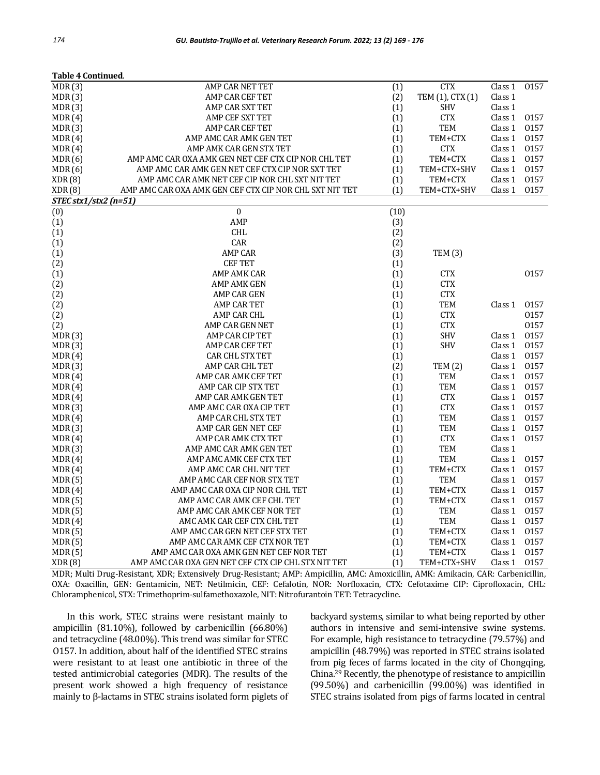| Table 4 Continued.                                  |                                                                                                                                                                                                                                                                                                                                                                                                                                                                                                                                                                                                                                                                                                                                                       |                                                                                                                                                                                                                                                                         |                                                                                                                                                                                                                                                                                                                                                      |                                                                                                                                                                                                                          |
|-----------------------------------------------------|-------------------------------------------------------------------------------------------------------------------------------------------------------------------------------------------------------------------------------------------------------------------------------------------------------------------------------------------------------------------------------------------------------------------------------------------------------------------------------------------------------------------------------------------------------------------------------------------------------------------------------------------------------------------------------------------------------------------------------------------------------|-------------------------------------------------------------------------------------------------------------------------------------------------------------------------------------------------------------------------------------------------------------------------|------------------------------------------------------------------------------------------------------------------------------------------------------------------------------------------------------------------------------------------------------------------------------------------------------------------------------------------------------|--------------------------------------------------------------------------------------------------------------------------------------------------------------------------------------------------------------------------|
| AMP CAR NET TET                                     | (1)                                                                                                                                                                                                                                                                                                                                                                                                                                                                                                                                                                                                                                                                                                                                                   | <b>CTX</b>                                                                                                                                                                                                                                                              | Class 1                                                                                                                                                                                                                                                                                                                                              | 0157                                                                                                                                                                                                                     |
| AMP CAR CEF TET                                     | (2)                                                                                                                                                                                                                                                                                                                                                                                                                                                                                                                                                                                                                                                                                                                                                   | TEM (1), CTX (1)                                                                                                                                                                                                                                                        | Class 1                                                                                                                                                                                                                                                                                                                                              |                                                                                                                                                                                                                          |
| AMP CAR SXT TET                                     | (1)                                                                                                                                                                                                                                                                                                                                                                                                                                                                                                                                                                                                                                                                                                                                                   | <b>SHV</b>                                                                                                                                                                                                                                                              | Class 1                                                                                                                                                                                                                                                                                                                                              |                                                                                                                                                                                                                          |
| AMP CEF SXT TET                                     | (1)                                                                                                                                                                                                                                                                                                                                                                                                                                                                                                                                                                                                                                                                                                                                                   | <b>CTX</b>                                                                                                                                                                                                                                                              | Class 1                                                                                                                                                                                                                                                                                                                                              | 0157                                                                                                                                                                                                                     |
| AMP CAR CEF TET                                     |                                                                                                                                                                                                                                                                                                                                                                                                                                                                                                                                                                                                                                                                                                                                                       |                                                                                                                                                                                                                                                                         |                                                                                                                                                                                                                                                                                                                                                      | 0157                                                                                                                                                                                                                     |
| AMP AMC CAR AMK GEN TET                             |                                                                                                                                                                                                                                                                                                                                                                                                                                                                                                                                                                                                                                                                                                                                                       | TEM+CTX                                                                                                                                                                                                                                                                 | Class 1                                                                                                                                                                                                                                                                                                                                              | 0157                                                                                                                                                                                                                     |
| AMP AMK CAR GEN STX TET                             |                                                                                                                                                                                                                                                                                                                                                                                                                                                                                                                                                                                                                                                                                                                                                       |                                                                                                                                                                                                                                                                         |                                                                                                                                                                                                                                                                                                                                                      | 0157                                                                                                                                                                                                                     |
|                                                     |                                                                                                                                                                                                                                                                                                                                                                                                                                                                                                                                                                                                                                                                                                                                                       |                                                                                                                                                                                                                                                                         |                                                                                                                                                                                                                                                                                                                                                      | 0157                                                                                                                                                                                                                     |
|                                                     |                                                                                                                                                                                                                                                                                                                                                                                                                                                                                                                                                                                                                                                                                                                                                       |                                                                                                                                                                                                                                                                         |                                                                                                                                                                                                                                                                                                                                                      | 0157                                                                                                                                                                                                                     |
|                                                     |                                                                                                                                                                                                                                                                                                                                                                                                                                                                                                                                                                                                                                                                                                                                                       |                                                                                                                                                                                                                                                                         |                                                                                                                                                                                                                                                                                                                                                      | 0157                                                                                                                                                                                                                     |
|                                                     |                                                                                                                                                                                                                                                                                                                                                                                                                                                                                                                                                                                                                                                                                                                                                       |                                                                                                                                                                                                                                                                         |                                                                                                                                                                                                                                                                                                                                                      | 0157                                                                                                                                                                                                                     |
|                                                     |                                                                                                                                                                                                                                                                                                                                                                                                                                                                                                                                                                                                                                                                                                                                                       |                                                                                                                                                                                                                                                                         |                                                                                                                                                                                                                                                                                                                                                      |                                                                                                                                                                                                                          |
|                                                     |                                                                                                                                                                                                                                                                                                                                                                                                                                                                                                                                                                                                                                                                                                                                                       |                                                                                                                                                                                                                                                                         |                                                                                                                                                                                                                                                                                                                                                      |                                                                                                                                                                                                                          |
|                                                     |                                                                                                                                                                                                                                                                                                                                                                                                                                                                                                                                                                                                                                                                                                                                                       |                                                                                                                                                                                                                                                                         |                                                                                                                                                                                                                                                                                                                                                      |                                                                                                                                                                                                                          |
|                                                     |                                                                                                                                                                                                                                                                                                                                                                                                                                                                                                                                                                                                                                                                                                                                                       |                                                                                                                                                                                                                                                                         |                                                                                                                                                                                                                                                                                                                                                      |                                                                                                                                                                                                                          |
|                                                     |                                                                                                                                                                                                                                                                                                                                                                                                                                                                                                                                                                                                                                                                                                                                                       |                                                                                                                                                                                                                                                                         |                                                                                                                                                                                                                                                                                                                                                      |                                                                                                                                                                                                                          |
|                                                     |                                                                                                                                                                                                                                                                                                                                                                                                                                                                                                                                                                                                                                                                                                                                                       |                                                                                                                                                                                                                                                                         |                                                                                                                                                                                                                                                                                                                                                      |                                                                                                                                                                                                                          |
|                                                     |                                                                                                                                                                                                                                                                                                                                                                                                                                                                                                                                                                                                                                                                                                                                                       |                                                                                                                                                                                                                                                                         |                                                                                                                                                                                                                                                                                                                                                      |                                                                                                                                                                                                                          |
|                                                     |                                                                                                                                                                                                                                                                                                                                                                                                                                                                                                                                                                                                                                                                                                                                                       |                                                                                                                                                                                                                                                                         |                                                                                                                                                                                                                                                                                                                                                      | 0157                                                                                                                                                                                                                     |
|                                                     |                                                                                                                                                                                                                                                                                                                                                                                                                                                                                                                                                                                                                                                                                                                                                       |                                                                                                                                                                                                                                                                         |                                                                                                                                                                                                                                                                                                                                                      |                                                                                                                                                                                                                          |
|                                                     |                                                                                                                                                                                                                                                                                                                                                                                                                                                                                                                                                                                                                                                                                                                                                       |                                                                                                                                                                                                                                                                         |                                                                                                                                                                                                                                                                                                                                                      |                                                                                                                                                                                                                          |
|                                                     |                                                                                                                                                                                                                                                                                                                                                                                                                                                                                                                                                                                                                                                                                                                                                       |                                                                                                                                                                                                                                                                         |                                                                                                                                                                                                                                                                                                                                                      | 0157                                                                                                                                                                                                                     |
|                                                     |                                                                                                                                                                                                                                                                                                                                                                                                                                                                                                                                                                                                                                                                                                                                                       |                                                                                                                                                                                                                                                                         |                                                                                                                                                                                                                                                                                                                                                      | 0157                                                                                                                                                                                                                     |
|                                                     |                                                                                                                                                                                                                                                                                                                                                                                                                                                                                                                                                                                                                                                                                                                                                       |                                                                                                                                                                                                                                                                         |                                                                                                                                                                                                                                                                                                                                                      | 0157                                                                                                                                                                                                                     |
|                                                     |                                                                                                                                                                                                                                                                                                                                                                                                                                                                                                                                                                                                                                                                                                                                                       |                                                                                                                                                                                                                                                                         |                                                                                                                                                                                                                                                                                                                                                      |                                                                                                                                                                                                                          |
|                                                     |                                                                                                                                                                                                                                                                                                                                                                                                                                                                                                                                                                                                                                                                                                                                                       |                                                                                                                                                                                                                                                                         |                                                                                                                                                                                                                                                                                                                                                      | 0157                                                                                                                                                                                                                     |
|                                                     |                                                                                                                                                                                                                                                                                                                                                                                                                                                                                                                                                                                                                                                                                                                                                       |                                                                                                                                                                                                                                                                         |                                                                                                                                                                                                                                                                                                                                                      | 0157                                                                                                                                                                                                                     |
|                                                     |                                                                                                                                                                                                                                                                                                                                                                                                                                                                                                                                                                                                                                                                                                                                                       |                                                                                                                                                                                                                                                                         |                                                                                                                                                                                                                                                                                                                                                      | 0157                                                                                                                                                                                                                     |
|                                                     |                                                                                                                                                                                                                                                                                                                                                                                                                                                                                                                                                                                                                                                                                                                                                       |                                                                                                                                                                                                                                                                         |                                                                                                                                                                                                                                                                                                                                                      | 0157                                                                                                                                                                                                                     |
|                                                     |                                                                                                                                                                                                                                                                                                                                                                                                                                                                                                                                                                                                                                                                                                                                                       |                                                                                                                                                                                                                                                                         |                                                                                                                                                                                                                                                                                                                                                      | 0157                                                                                                                                                                                                                     |
|                                                     |                                                                                                                                                                                                                                                                                                                                                                                                                                                                                                                                                                                                                                                                                                                                                       |                                                                                                                                                                                                                                                                         |                                                                                                                                                                                                                                                                                                                                                      | 0157                                                                                                                                                                                                                     |
|                                                     |                                                                                                                                                                                                                                                                                                                                                                                                                                                                                                                                                                                                                                                                                                                                                       |                                                                                                                                                                                                                                                                         |                                                                                                                                                                                                                                                                                                                                                      | 0157                                                                                                                                                                                                                     |
|                                                     |                                                                                                                                                                                                                                                                                                                                                                                                                                                                                                                                                                                                                                                                                                                                                       |                                                                                                                                                                                                                                                                         |                                                                                                                                                                                                                                                                                                                                                      | 0157                                                                                                                                                                                                                     |
|                                                     |                                                                                                                                                                                                                                                                                                                                                                                                                                                                                                                                                                                                                                                                                                                                                       |                                                                                                                                                                                                                                                                         |                                                                                                                                                                                                                                                                                                                                                      | 0157                                                                                                                                                                                                                     |
|                                                     |                                                                                                                                                                                                                                                                                                                                                                                                                                                                                                                                                                                                                                                                                                                                                       |                                                                                                                                                                                                                                                                         |                                                                                                                                                                                                                                                                                                                                                      | 0157                                                                                                                                                                                                                     |
|                                                     |                                                                                                                                                                                                                                                                                                                                                                                                                                                                                                                                                                                                                                                                                                                                                       |                                                                                                                                                                                                                                                                         |                                                                                                                                                                                                                                                                                                                                                      | 0157                                                                                                                                                                                                                     |
|                                                     |                                                                                                                                                                                                                                                                                                                                                                                                                                                                                                                                                                                                                                                                                                                                                       |                                                                                                                                                                                                                                                                         |                                                                                                                                                                                                                                                                                                                                                      |                                                                                                                                                                                                                          |
|                                                     |                                                                                                                                                                                                                                                                                                                                                                                                                                                                                                                                                                                                                                                                                                                                                       |                                                                                                                                                                                                                                                                         |                                                                                                                                                                                                                                                                                                                                                      | 0157                                                                                                                                                                                                                     |
| AMP AMC CAR CHL NIT TET                             |                                                                                                                                                                                                                                                                                                                                                                                                                                                                                                                                                                                                                                                                                                                                                       |                                                                                                                                                                                                                                                                         | Class 1                                                                                                                                                                                                                                                                                                                                              | 0157                                                                                                                                                                                                                     |
| AMP AMC CAR CEF NOR STX TET                         |                                                                                                                                                                                                                                                                                                                                                                                                                                                                                                                                                                                                                                                                                                                                                       | <b>TEM</b>                                                                                                                                                                                                                                                              | Class 1                                                                                                                                                                                                                                                                                                                                              | 0157                                                                                                                                                                                                                     |
| AMP AMC CAR OXA CIP NOR CHL TET                     | (1)                                                                                                                                                                                                                                                                                                                                                                                                                                                                                                                                                                                                                                                                                                                                                   | TEM+CTX                                                                                                                                                                                                                                                                 | Class 1                                                                                                                                                                                                                                                                                                                                              | 0157                                                                                                                                                                                                                     |
| AMP AMC CAR AMK CEF CHL TET                         | (1)                                                                                                                                                                                                                                                                                                                                                                                                                                                                                                                                                                                                                                                                                                                                                   | TEM+CTX                                                                                                                                                                                                                                                                 | Class 1                                                                                                                                                                                                                                                                                                                                              | 0157                                                                                                                                                                                                                     |
| AMP AMC CAR AMK CEF NOR TET                         | (1)                                                                                                                                                                                                                                                                                                                                                                                                                                                                                                                                                                                                                                                                                                                                                   | <b>TEM</b>                                                                                                                                                                                                                                                              | Class 1                                                                                                                                                                                                                                                                                                                                              | 0157                                                                                                                                                                                                                     |
| AMC AMK CAR CEF CTX CHL TET                         |                                                                                                                                                                                                                                                                                                                                                                                                                                                                                                                                                                                                                                                                                                                                                       | <b>TEM</b>                                                                                                                                                                                                                                                              | Class 1                                                                                                                                                                                                                                                                                                                                              | 0157                                                                                                                                                                                                                     |
| AMP AMC CAR GEN NET CEF STX TET                     |                                                                                                                                                                                                                                                                                                                                                                                                                                                                                                                                                                                                                                                                                                                                                       | TEM+CTX                                                                                                                                                                                                                                                                 | Class 1                                                                                                                                                                                                                                                                                                                                              | 0157                                                                                                                                                                                                                     |
| AMP AMC CAR AMK CEF CTX NOR TET                     |                                                                                                                                                                                                                                                                                                                                                                                                                                                                                                                                                                                                                                                                                                                                                       | TEM+CTX                                                                                                                                                                                                                                                                 | Class 1                                                                                                                                                                                                                                                                                                                                              | 0157                                                                                                                                                                                                                     |
| AMP AMC CAR OXA AMK GEN NET CEF NOR TET             |                                                                                                                                                                                                                                                                                                                                                                                                                                                                                                                                                                                                                                                                                                                                                       | TEM+CTX                                                                                                                                                                                                                                                                 | Class 1                                                                                                                                                                                                                                                                                                                                              | 0157                                                                                                                                                                                                                     |
| AMP AMC CAR OXA GEN NET CEF CTX CIP CHL STX NIT TET | (1)                                                                                                                                                                                                                                                                                                                                                                                                                                                                                                                                                                                                                                                                                                                                                   | TEM+CTX+SHV                                                                                                                                                                                                                                                             | Class 1                                                                                                                                                                                                                                                                                                                                              | 0157                                                                                                                                                                                                                     |
|                                                     | AMP AMC CAR OXA AMK GEN NET CEF CTX CIP NOR CHL TET<br>AMP AMC CAR AMK GEN NET CEF CTX CIP NOR SXT TET<br>AMP AMC CAR AMK NET CEF CIP NOR CHL SXT NIT TET<br>AMP AMC CAR OXA AMK GEN CEF CTX CIP NOR CHL SXT NIT TET<br>$STEC$ stx1/stx2 (n=51)<br>$\boldsymbol{0}$<br>AMP<br><b>CHL</b><br>CAR<br><b>AMP CAR</b><br><b>CEFTET</b><br>AMP AMK CAR<br>AMP AMK GEN<br>AMP CAR GEN<br><b>AMP CAR TET</b><br>AMP CAR CHL<br>AMP CAR GEN NET<br>AMP CAR CIP TET<br>AMP CAR CEF TET<br><b>CAR CHL STX TET</b><br>AMP CAR CHL TET<br>AMP CAR AMK CEF TET<br>AMP CAR CIP STX TET<br>AMP CAR AMK GEN TET<br>AMP AMC CAR OXA CIP TET<br>AMP CAR CHL STX TET<br>AMP CAR GEN NET CEF<br>AMP CAR AMK CTX TET<br>AMP AMC CAR AMK GEN TET<br>AMP AMC AMK CEF CTX TET | (1)<br>(1)<br>(1)<br>(1)<br>(1)<br>(1)<br>(1)<br>(10)<br>(3)<br>(2)<br>(2)<br>(3)<br>(1)<br>(1)<br>(1)<br>(1)<br>(1)<br>(1)<br>(1)<br>(1)<br>(1)<br>(1)<br>(2)<br>(1)<br>(1)<br>(1)<br>(1)<br>(1)<br>(1)<br>(1)<br>(1)<br>(1)<br>(1)<br>(1)<br>(1)<br>(1)<br>(1)<br>(1) | TEM<br><b>CTX</b><br>TEM+CTX<br>TEM+CTX+SHV<br>TEM+CTX<br>TEM+CTX+SHV<br><b>TEM (3)</b><br><b>CTX</b><br><b>CTX</b><br><b>CTX</b><br><b>TEM</b><br><b>CTX</b><br><b>CTX</b><br><b>SHV</b><br><b>SHV</b><br>TEM (2)<br><b>TEM</b><br><b>TEM</b><br><b>CTX</b><br><b>CTX</b><br><b>TEM</b><br>TEM<br><b>CTX</b><br><b>TEM</b><br><b>TEM</b><br>TEM+CTX | Class 1<br>Class 1<br>Class 1<br>Class 1<br>Class 1<br>Class 1<br>Class 1<br>Class 1<br>Class 1<br>Class 1<br>Class 1<br>Class 1<br>Class 1<br>Class 1<br>Class 1<br>Class 1<br>Class 1<br>Class 1<br>Class 1<br>Class 1 |

MDR; Multi Drug-Resistant, XDR; Extensively Drug-Resistant; AMP: Ampicillin, AMC: Amoxicillin, AMK: Amikacin, CAR: Carbenicillin, OXA: Oxacillin, GEN: Gentamicin, NET: Netilmicin, CEF: Cefalotin, NOR: Norfloxacin, CTX: Cefotaxime CIP: Ciprofloxacin, CHL: Chloramphenicol, STX: Trimethoprim-sulfamethoxazole, NIT: Nitrofurantoin TET: Tetracycline.

In this work, STEC strains were resistant mainly to ampicillin (81.10%), followed by carbenicillin (66.80%) and tetracycline (48.00%). This trend was similar for STEC O157. In addition, about half of the identified STEC strains were resistant to at least one antibiotic in three of the tested antimicrobial categories (MDR). The results of the present work showed a high frequency of resistance mainly to β-lactams in STEC strains isolated form piglets of backyard systems, similar to what being reported by other authors in intensive and semi-intensive swine systems. For example, high resistance to tetracycline (79.57%) and ampicillin (48.79%) was reported in STEC strains isolated from pig feces of farms located in the city of Chongqing, China.<sup>29</sup> Recently, the phenotype of resistance to ampicillin (99.50%) and carbenicillin (99.00%) was identified in STEC strains isolated from pigs of farms located in central

**Table 4 Continued**.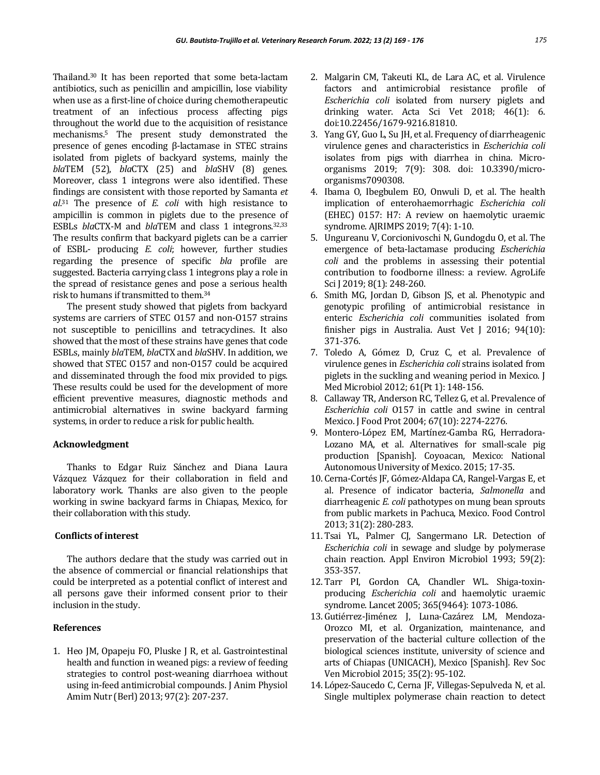Thailand.<sup>30</sup> It has been reported that some beta-lactam antibiotics, such as penicillin and ampicillin, lose viability when use as a first-line of choice during chemotherapeutic treatment of an infectious process affecting pigs throughout the world due to the acquisition of resistance mechanisms.<sup>5</sup> The present study demonstrated the presence of genes encoding β-lactamase in STEC strains isolated from piglets of backyard systems, mainly the *bla*TEM (52), *bla*CTX (25) and *bla*SHV (8) genes. Moreover, class 1 integrons were also identified. These findings are consistent with those reported by Samanta *et*  al.<sup>31</sup> The presence of *E. coli* with high resistance to ampicillin is common in piglets due to the presence of ESBLs *bla*CTX-M and *bla*TEM and class 1 integrons.32,33 The results confirm that backyard piglets can be a carrier of ESBL- producing *E. coli*; however*,* further studies regarding the presence of specific *bla* profile are suggested. Bacteria carrying class 1 integrons play a role in the spread of resistance genes and pose a serious health risk to humans if transmitted to them.<sup>34</sup>

The present study showed that piglets from backyard systems are carriers of STEC O157 and non-O157 strains not susceptible to penicillins and tetracyclines. It also showed that the most of these strains have genes that code ESBLs, mainly *bla*TEM, *bla*CTX and *bla*SHV. In addition, we showed that STEC O157 and non-O157 could be acquired and disseminated through the food mix provided to pigs. These results could be used for the development of more efficient preventive measures, diagnostic methods and antimicrobial alternatives in swine backyard farming systems, in order to reduce a risk for public health.

#### **Acknowledgment**

Thanks to Edgar Ruiz Sánchez and Diana Laura Vázquez Vázquez for their collaboration in field and laboratory work. Thanks are also given to the people working in swine backyard farms in Chiapas, Mexico, for their collaboration with this study.

# **Conflicts of interest**

The authors declare that the study was carried out in the absence of commercial or financial relationships that could be interpreted as a potential conflict of interest and all persons gave their informed consent prior to their inclusion in the study.

### **References**

1. Heo JM, Opapeju FO, Pluske J R, et al. Gastrointestinal health and function in weaned pigs: a review of feeding strategies to control post‐weaning diarrhoea without using in‐feed antimicrobial compounds. J Anim Physiol Amim Nutr (Berl) 2013; 97(2): 207-237.

- 2. Malgarin CM, Takeuti KL, de Lara AC, et al. Virulence factors and antimicrobial resistance profile of *Escherichia coli* isolated from nursery piglets and drinking water. Acta Sci Vet 2018; 46(1): 6. doi:10.22456/1679-9216.81810.
- 3. Yang GY, Guo L, Su JH, et al. Frequency of diarrheagenic virulence genes and characteristics in *Escherichia coli* isolates from pigs with diarrhea in china. Microorganisms 2019; 7(9): 308. doi: 10.3390/microorganisms7090308.
- 4. Ibama O, Ibegbulem EO, Onwuli D, et al. The health implication of enterohaemorrhagic *Escherichia coli* (EHEC) 0157: H7: A review on haemolytic uraemic syndrome. AJRIMPS 2019; 7(4): 1-10.
- 5. Ungureanu V, Corcionivoschi N, Gundogdu O, et al. The emergence of beta-lactamase producing *Escherichia coli* and the problems in assessing their potential contribution to foodborne illness: a review. AgroLife Sci J 2019; 8(1): 248-260.
- 6. Smith MG, Jordan D, Gibson JS, et al. Phenotypic and genotypic profiling of antimicrobial resistance in enteric *Escherichia coli* communities isolated from finisher pigs in Australia. Aust Vet J 2016; 94(10): 371-376.
- 7. Toledo A, Gómez D, Cruz C, et al. Prevalence of virulence genes in *Escherichia coli* strains isolated from piglets in the suckling and weaning period in Mexico. J Med Microbiol 2012; 61(Pt 1): 148-156.
- 8. Callaway TR, Anderson RC, Tellez G, et al. Prevalence of *Escherichia coli* O157 in cattle and swine in central Mexico. J Food Prot 2004; 67(10): 2274-2276.
- 9. Montero-López EM, Martínez-Gamba RG, Herradora-Lozano MA, et al. Alternatives for small-scale pig production [Spanish]. Coyoacan, Mexico: National Autonomous University of Mexico. 2015; 17-35.
- 10. Cerna-Cortés JF, Gómez-Aldapa CA, Rangel-Vargas E, et al. Presence of indicator bacteria, *Salmonella* and diarrheagenic *E. coli* pathotypes on mung bean sprouts from public markets in Pachuca, Mexico. Food Control 2013; 31(2): 280-283.
- 11. Tsai YL, Palmer CJ, Sangermano LR. Detection of *Escherichia coli* in sewage and sludge by polymerase chain reaction. Appl Environ Microbiol 1993; 59(2): 353-357.
- 12. Tarr PI, Gordon CA, Chandler WL. Shiga-toxinproducing *Escherichia coli* and haemolytic uraemic syndrome. Lancet 2005; 365(9464): 1073-1086.
- 13. Gutiérrez-Jiménez J, Luna-Cazárez LM, Mendoza-Orozco MI, et al. Organization, maintenance, and preservation of the bacterial culture collection of the biological sciences institute, university of science and arts of Chiapas (UNICACH), Mexico [Spanish]. Rev Soc Ven Microbiol 2015; 35(2): 95-102.
- 14. López-Saucedo C, Cerna JF, Villegas-Sepulveda N, et al. Single multiplex polymerase chain reaction to detect